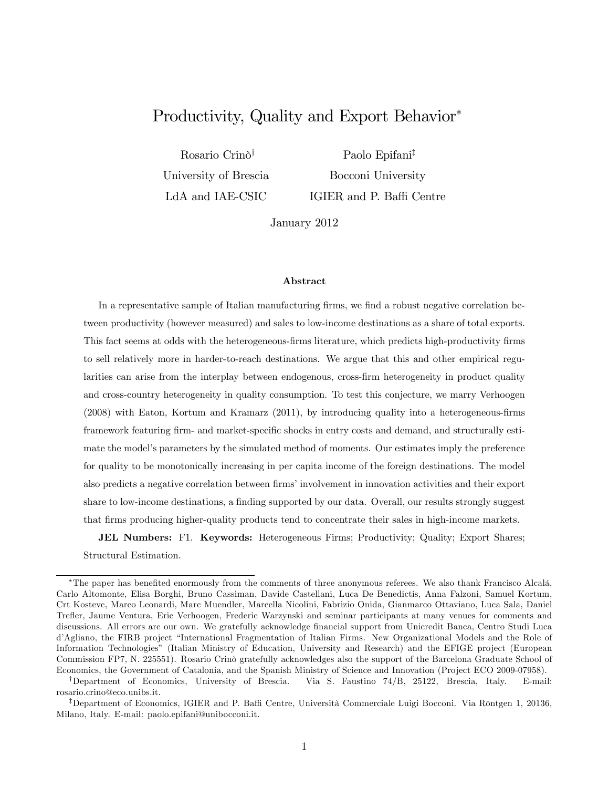# Productivity, Quality and Export Behavior

Rosario Crino<sup>†</sup> University of Brescia LdA and IAE-CSIC

Paolo Epifani<sup>‡</sup> Bocconi University IGIER and P. Baffi Centre

January 2012

#### Abstract

In a representative sample of Italian manufacturing firms, we find a robust negative correlation between productivity (however measured) and sales to low-income destinations as a share of total exports. This fact seems at odds with the heterogeneous-firms literature, which predicts high-productivity firms to sell relatively more in harder-to-reach destinations. We argue that this and other empirical regularities can arise from the interplay between endogenous, cross-firm heterogeneity in product quality and cross-country heterogeneity in quality consumption. To test this conjecture, we marry Verhoogen  $(2008)$  with Eaton, Kortum and Kramarz  $(2011)$ , by introducing quality into a heterogeneous-firms framework featuring firm- and market-specific shocks in entry costs and demand, and structurally estimate the model's parameters by the simulated method of moments. Our estimates imply the preference for quality to be monotonically increasing in per capita income of the foreign destinations. The model also predicts a negative correlation between firms' involvement in innovation activities and their export share to low-income destinations, a finding supported by our data. Overall, our results strongly suggest that Örms producing higher-quality products tend to concentrate their sales in high-income markets.

JEL Numbers: F1. Keywords: Heterogeneous Firms; Productivity; Quality; Export Shares; Structural Estimation.

<sup>\*</sup>The paper has benefited enormously from the comments of three anonymous referees. We also thank Francisco Alcalá, Carlo Altomonte, Elisa Borghi, Bruno Cassiman, Davide Castellani, Luca De Benedictis, Anna Falzoni, Samuel Kortum, Crt Kostevc, Marco Leonardi, Marc Muendler, Marcella Nicolini, Fabrizio Onida, Gianmarco Ottaviano, Luca Sala, Daniel Trefler, Jaume Ventura, Eric Verhoogen, Frederic Warzynski and seminar participants at many venues for comments and discussions. All errors are our own. We gratefully acknowledge financial support from Unicredit Banca, Centro Studi Luca d'Agliano, the FIRB project "International Fragmentation of Italian Firms. New Organizational Models and the Role of Information Technologiesî (Italian Ministry of Education, University and Research) and the EFIGE project (European Commission FP7, N. 225551). Rosario Crinò gratefully acknowledges also the support of the Barcelona Graduate School of Economics, the Government of Catalonia, and the Spanish Ministry of Science and Innovation (Project ECO 2009-07958).

<sup>&</sup>lt;sup>†</sup>Department of Economics, University of Brescia. Via S. Faustino 74/B, 25122, Brescia, Italy. E-mail: rosario.crino@eco.unibs.it.

<sup>&</sup>lt;sup>‡</sup>Department of Economics, IGIER and P. Baffi Centre, Università Commerciale Luigi Bocconi. Via Röntgen 1, 20136, Milano, Italy. E-mail: paolo.epifani@unibocconi.it.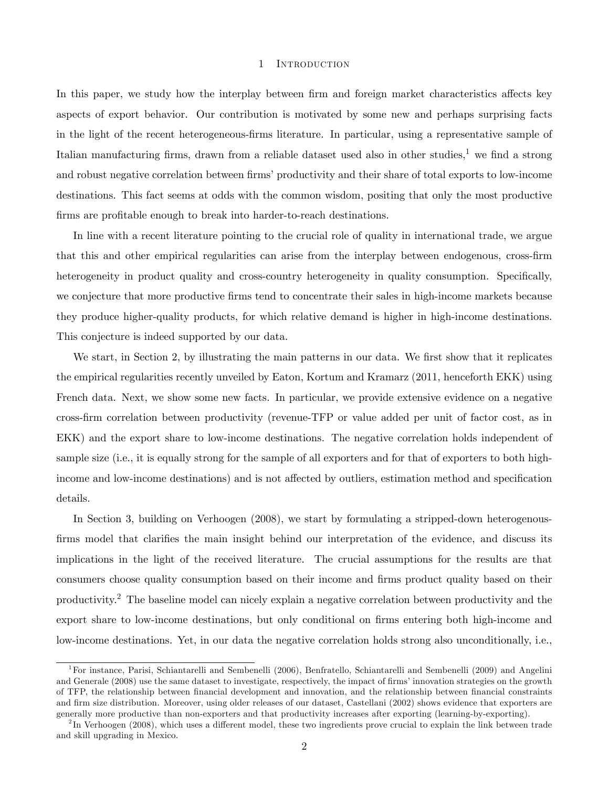#### 1 INTRODUCTION

In this paper, we study how the interplay between firm and foreign market characteristics affects key aspects of export behavior. Our contribution is motivated by some new and perhaps surprising facts in the light of the recent heterogeneous-firms literature. In particular, using a representative sample of Italian manufacturing firms, drawn from a reliable dataset used also in other studies,<sup>1</sup> we find a strong and robust negative correlation between firms' productivity and their share of total exports to low-income destinations. This fact seems at odds with the common wisdom, positing that only the most productive firms are profitable enough to break into harder-to-reach destinations.

In line with a recent literature pointing to the crucial role of quality in international trade, we argue that this and other empirical regularities can arise from the interplay between endogenous, cross-firm heterogeneity in product quality and cross-country heterogeneity in quality consumption. Specifically, we conjecture that more productive Örms tend to concentrate their sales in high-income markets because they produce higher-quality products, for which relative demand is higher in high-income destinations. This conjecture is indeed supported by our data.

We start, in Section 2, by illustrating the main patterns in our data. We first show that it replicates the empirical regularities recently unveiled by Eaton, Kortum and Kramarz (2011, henceforth EKK) using French data. Next, we show some new facts. In particular, we provide extensive evidence on a negative cross-Örm correlation between productivity (revenue-TFP or value added per unit of factor cost, as in EKK) and the export share to low-income destinations. The negative correlation holds independent of sample size (i.e., it is equally strong for the sample of all exporters and for that of exporters to both highincome and low-income destinations) and is not affected by outliers, estimation method and specification details.

In Section 3, building on Verhoogen (2008), we start by formulating a stripped-down heterogenousfirms model that clarifies the main insight behind our interpretation of the evidence, and discuss its implications in the light of the received literature. The crucial assumptions for the results are that consumers choose quality consumption based on their income and firms product quality based on their productivity.<sup>2</sup> The baseline model can nicely explain a negative correlation between productivity and the export share to low-income destinations, but only conditional on firms entering both high-income and low-income destinations. Yet, in our data the negative correlation holds strong also unconditionally, i.e.,

<sup>1</sup>For instance, Parisi, Schiantarelli and Sembenelli (2006), Benfratello, Schiantarelli and Sembenelli (2009) and Angelini and Generale (2008) use the same dataset to investigate, respectively, the impact of firms' innovation strategies on the growth of TFP, the relationship between financial development and innovation, and the relationship between financial constraints and firm size distribution. Moreover, using older releases of our dataset, Castellani (2002) shows evidence that exporters are generally more productive than non-exporters and that productivity increases after exporting (learning-by-exporting).

 $^{2}$ In Verhoogen (2008), which uses a different model, these two ingredients prove crucial to explain the link between trade and skill upgrading in Mexico.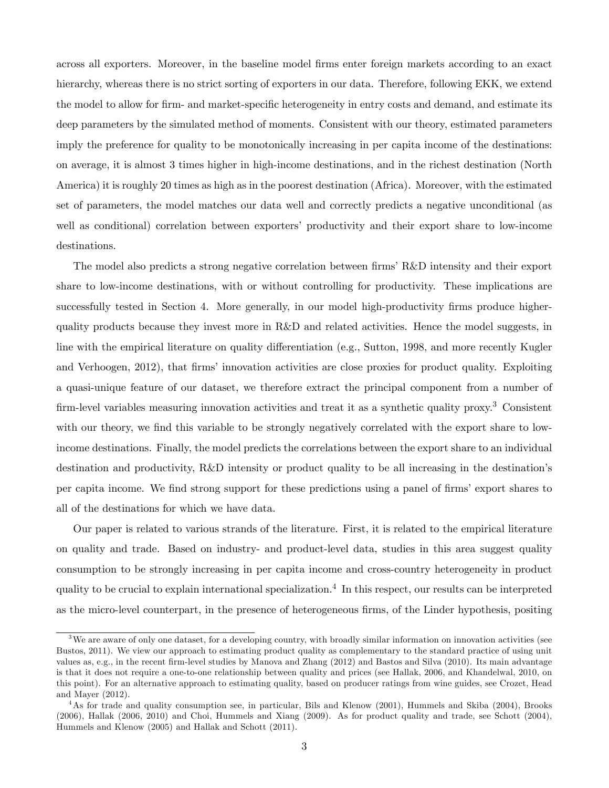across all exporters. Moreover, in the baseline model Örms enter foreign markets according to an exact hierarchy, whereas there is no strict sorting of exporters in our data. Therefore, following EKK, we extend the model to allow for firm- and market-specific heterogeneity in entry costs and demand, and estimate its deep parameters by the simulated method of moments. Consistent with our theory, estimated parameters imply the preference for quality to be monotonically increasing in per capita income of the destinations: on average, it is almost 3 times higher in high-income destinations, and in the richest destination (North America) it is roughly 20 times as high as in the poorest destination (Africa). Moreover, with the estimated set of parameters, the model matches our data well and correctly predicts a negative unconditional (as well as conditional) correlation between exporters' productivity and their export share to low-income destinations.

The model also predicts a strong negative correlation between firms' R&D intensity and their export share to low-income destinations, with or without controlling for productivity. These implications are successfully tested in Section 4. More generally, in our model high-productivity firms produce higherquality products because they invest more in R&D and related activities. Hence the model suggests, in line with the empirical literature on quality differentiation (e.g., Sutton, 1998, and more recently Kugler and Verhoogen, 2012), that firms' innovation activities are close proxies for product quality. Exploiting a quasi-unique feature of our dataset, we therefore extract the principal component from a number of firm-level variables measuring innovation activities and treat it as a synthetic quality proxy.<sup>3</sup> Consistent with our theory, we find this variable to be strongly negatively correlated with the export share to lowincome destinations. Finally, the model predicts the correlations between the export share to an individual destination and productivity, R&D intensity or product quality to be all increasing in the destination's per capita income. We find strong support for these predictions using a panel of firms' export shares to all of the destinations for which we have data.

Our paper is related to various strands of the literature. First, it is related to the empirical literature on quality and trade. Based on industry- and product-level data, studies in this area suggest quality consumption to be strongly increasing in per capita income and cross-country heterogeneity in product quality to be crucial to explain international specialization.<sup>4</sup> In this respect, our results can be interpreted as the micro-level counterpart, in the presence of heterogeneous firms, of the Linder hypothesis, positing

 $3$ We are aware of only one dataset, for a developing country, with broadly similar information on innovation activities (see Bustos, 2011). We view our approach to estimating product quality as complementary to the standard practice of using unit values as, e.g., in the recent Örm-level studies by Manova and Zhang (2012) and Bastos and Silva (2010). Its main advantage is that it does not require a one-to-one relationship between quality and prices (see Hallak, 2006, and Khandelwal, 2010, on this point). For an alternative approach to estimating quality, based on producer ratings from wine guides, see Crozet, Head and Mayer (2012).

<sup>4</sup>As for trade and quality consumption see, in particular, Bils and Klenow (2001), Hummels and Skiba (2004), Brooks (2006), Hallak (2006, 2010) and Choi, Hummels and Xiang (2009). As for product quality and trade, see Schott (2004), Hummels and Klenow (2005) and Hallak and Schott (2011).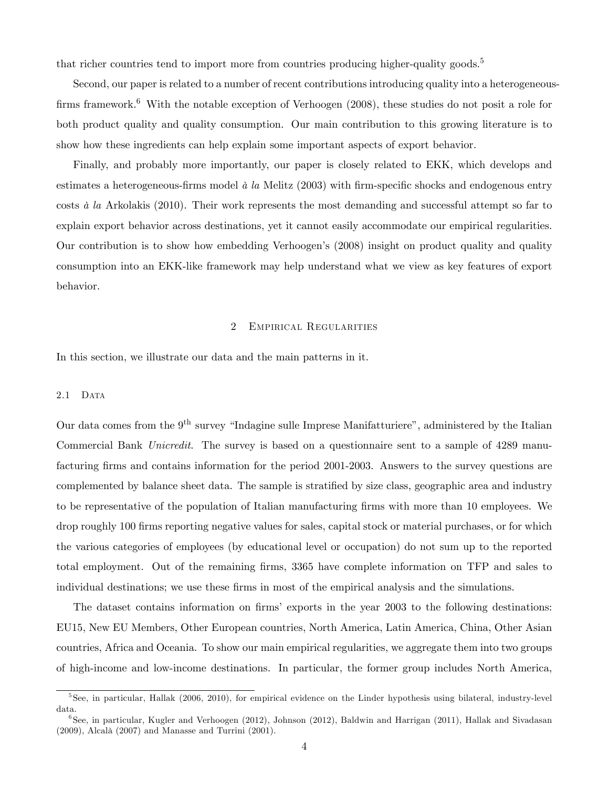that richer countries tend to import more from countries producing higher-quality goods.<sup>5</sup>

Second, our paper is related to a number of recent contributions introducing quality into a heterogeneousfirms framework.<sup>6</sup> With the notable exception of Verhoogen  $(2008)$ , these studies do not posit a role for both product quality and quality consumption. Our main contribution to this growing literature is to show how these ingredients can help explain some important aspects of export behavior.

Finally, and probably more importantly, our paper is closely related to EKK, which develops and estimates a heterogeneous-firms model  $\dot{a}$  la Melitz (2003) with firm-specific shocks and endogenous entry costs  $\dot{a}$  la Arkolakis (2010). Their work represents the most demanding and successful attempt so far to explain export behavior across destinations, yet it cannot easily accommodate our empirical regularities. Our contribution is to show how embedding Verhoogen's (2008) insight on product quality and quality consumption into an EKK-like framework may help understand what we view as key features of export behavior.

#### 2 Empirical Regularities

In this section, we illustrate our data and the main patterns in it.

#### 2.1 DATA

Our data comes from the  $9<sup>th</sup>$  survey "Indagine sulle Imprese Manifatturiere", administered by the Italian Commercial Bank Unicredit. The survey is based on a questionnaire sent to a sample of 4289 manufacturing firms and contains information for the period 2001-2003. Answers to the survey questions are complemented by balance sheet data. The sample is stratified by size class, geographic area and industry to be representative of the population of Italian manufacturing firms with more than 10 employees. We drop roughly 100 firms reporting negative values for sales, capital stock or material purchases, or for which the various categories of employees (by educational level or occupation) do not sum up to the reported total employment. Out of the remaining firms, 3365 have complete information on TFP and sales to individual destinations; we use these firms in most of the empirical analysis and the simulations.

The dataset contains information on firms' exports in the year 2003 to the following destinations: EU15, New EU Members, Other European countries, North America, Latin America, China, Other Asian countries, Africa and Oceania. To show our main empirical regularities, we aggregate them into two groups of high-income and low-income destinations. In particular, the former group includes North America,

<sup>&</sup>lt;sup>5</sup>See, in particular, Hallak (2006, 2010), for empirical evidence on the Linder hypothesis using bilateral, industry-level data.

<sup>6</sup> See, in particular, Kugler and Verhoogen (2012), Johnson (2012), Baldwin and Harrigan (2011), Hallak and Sivadasan  $(2009)$ , Alcalà  $(2007)$  and Manasse and Turrini  $(2001)$ .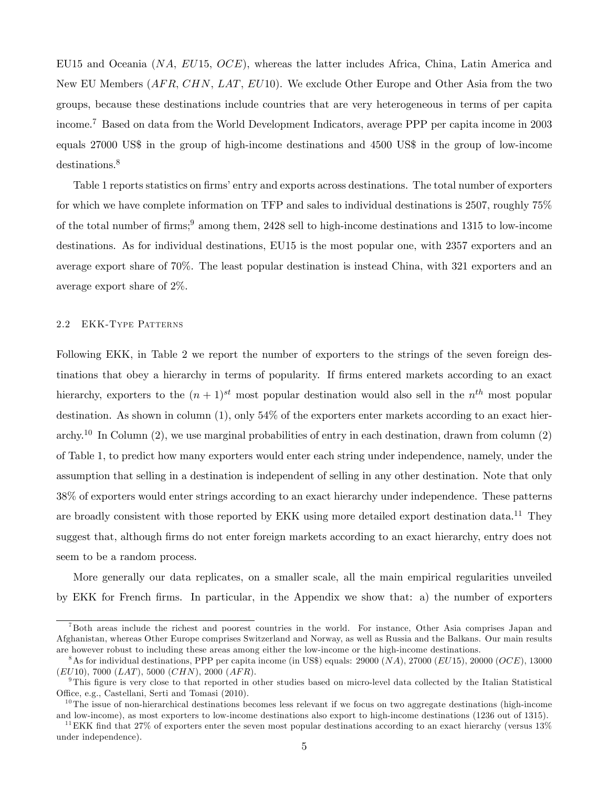EU15 and Oceania  $(NA, EU15, OCE)$ , whereas the latter includes Africa, China, Latin America and New EU Members (AFR, CHN, LAT, EU10). We exclude Other Europe and Other Asia from the two groups, because these destinations include countries that are very heterogeneous in terms of per capita income.<sup>7</sup> Based on data from the World Development Indicators, average PPP per capita income in 2003 equals 27000 US\$ in the group of high-income destinations and 4500 US\$ in the group of low-income destinations.<sup>8</sup>

Table 1 reports statistics on firms' entry and exports across destinations. The total number of exporters for which we have complete information on TFP and sales to individual destinations is 2507, roughly 75% of the total number of firms;<sup>9</sup> among them, 2428 sell to high-income destinations and 1315 to low-income destinations. As for individual destinations, EU15 is the most popular one, with 2357 exporters and an average export share of 70%. The least popular destination is instead China, with 321 exporters and an average export share of 2%.

## 2.2 EKK-Type Patterns

Following EKK, in Table 2 we report the number of exporters to the strings of the seven foreign destinations that obey a hierarchy in terms of popularity. If firms entered markets according to an exact hierarchy, exporters to the  $(n+1)^{st}$  most popular destination would also sell in the  $n^{th}$  most popular destination. As shown in column  $(1)$ , only  $54\%$  of the exporters enter markets according to an exact hierarchy.<sup>10</sup> In Column (2), we use marginal probabilities of entry in each destination, drawn from column (2) of Table 1, to predict how many exporters would enter each string under independence, namely, under the assumption that selling in a destination is independent of selling in any other destination. Note that only 38% of exporters would enter strings according to an exact hierarchy under independence. These patterns are broadly consistent with those reported by EKK using more detailed export destination data.<sup>11</sup> They suggest that, although firms do not enter foreign markets according to an exact hierarchy, entry does not seem to be a random process.

More generally our data replicates, on a smaller scale, all the main empirical regularities unveiled by EKK for French Örms. In particular, in the Appendix we show that: a) the number of exporters

<sup>&</sup>lt;sup>7</sup>Both areas include the richest and poorest countries in the world. For instance, Other Asia comprises Japan and Afghanistan, whereas Other Europe comprises Switzerland and Norway, as well as Russia and the Balkans. Our main results are however robust to including these areas among either the low-income or the high-income destinations.

<sup>&</sup>lt;sup>8</sup>As for individual destinations, PPP per capita income (in US\$) equals: 29000 (NA), 27000 (EU15), 20000 (OCE), 13000  $(EU10)$ , 7000  $(LAT)$ , 5000  $(CHN)$ , 2000  $(AFR)$ .

<sup>&</sup>lt;sup>9</sup>This figure is very close to that reported in other studies based on micro-level data collected by the Italian Statistical Office, e.g., Castellani, Serti and Tomasi (2010).

 $10$ The issue of non-hierarchical destinations becomes less relevant if we focus on two aggregate destinations (high-income and low-income), as most exporters to low-income destinations also export to high-income destinations (1236 out of 1315).

<sup>&</sup>lt;sup>11</sup> EKK find that 27% of exporters enter the seven most popular destinations according to an exact hierarchy (versus  $13\%$ under independence).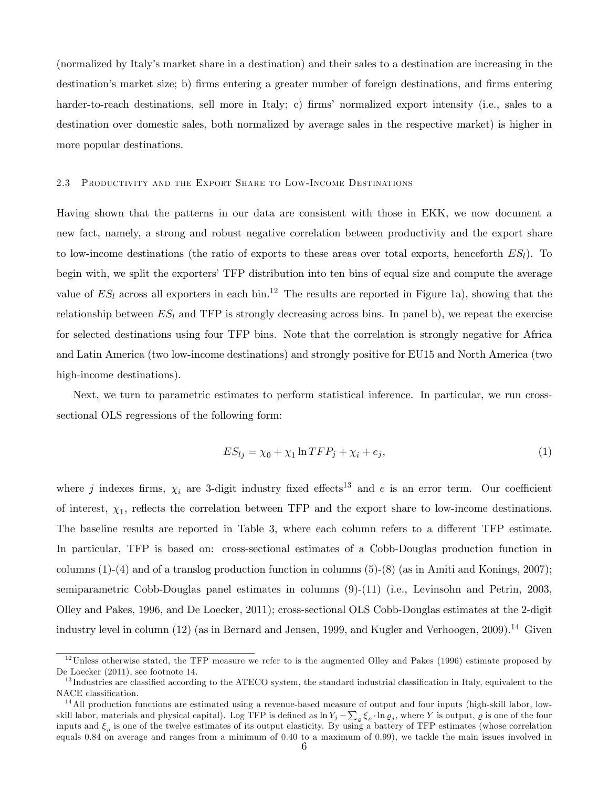(normalized by Italyís market share in a destination) and their sales to a destination are increasing in the destination's market size; b) firms entering a greater number of foreign destinations, and firms entering harder-to-reach destinations, sell more in Italy; c) firms' normalized export intensity (i.e., sales to a destination over domestic sales, both normalized by average sales in the respective market) is higher in more popular destinations.

#### 2.3 Productivity and the Export Share to Low-Income Destinations

Having shown that the patterns in our data are consistent with those in EKK, we now document a new fact, namely, a strong and robust negative correlation between productivity and the export share to low-income destinations (the ratio of exports to these areas over total exports, henceforth  $ES_l$ ). To begin with, we split the exporters' TFP distribution into ten bins of equal size and compute the average value of  $ES_l$  across all exporters in each bin.<sup>12</sup> The results are reported in Figure 1a), showing that the relationship between  $ES_l$  and TFP is strongly decreasing across bins. In panel b), we repeat the exercise for selected destinations using four TFP bins. Note that the correlation is strongly negative for Africa and Latin America (two low-income destinations) and strongly positive for EU15 and North America (two high-income destinations).

Next, we turn to parametric estimates to perform statistical inference. In particular, we run crosssectional OLS regressions of the following form:

$$
ES_{lj} = \chi_0 + \chi_1 \ln TFP_j + \chi_i + e_j,\tag{1}
$$

where j indexes firms,  $\chi_i$  are 3-digit industry fixed effects<sup>13</sup> and e is an error term. Our coefficient of interest,  $\chi_1$ , reflects the correlation between TFP and the export share to low-income destinations. The baseline results are reported in Table 3, where each column refers to a different TFP estimate. In particular, TFP is based on: cross-sectional estimates of a Cobb-Douglas production function in columns  $(1)-(4)$  and of a translog production function in columns  $(5)-(8)$  (as in Amiti and Konings, 2007); semiparametric Cobb-Douglas panel estimates in columns (9)-(11) (i.e., Levinsohn and Petrin, 2003, Olley and Pakes, 1996, and De Loecker, 2011); cross-sectional OLS Cobb-Douglas estimates at the 2-digit industry level in column  $(12)$  (as in Bernard and Jensen, 1999, and Kugler and Verhoogen, 2009).<sup>14</sup> Given

 $12$ Unless otherwise stated, the TFP measure we refer to is the augmented Olley and Pakes (1996) estimate proposed by De Loecker (2011), see footnote 14.

<sup>&</sup>lt;sup>13</sup> Industries are classified according to the ATECO system, the standard industrial classification in Italy, equivalent to the NACE classification.

 $14$  All production functions are estimated using a revenue-based measure of output and four inputs (high-skill labor, lowskill labor, materials and physical capital). Log TFP is defined as  $\ln Y_j - \sum_{\varrho} \xi_{\varrho} \cdot \ln \varrho_j$ , where Y is output,  $\varrho$  is one of the four inputs and  $\xi_{\varrho}$  is one of the twelve estimates of its output elasticity. By using a battery of TFP estimates (whose correlation equals 0.84 on average and ranges from a minimum of 0.40 to a maximum of 0.99), we tackle the main issues involved in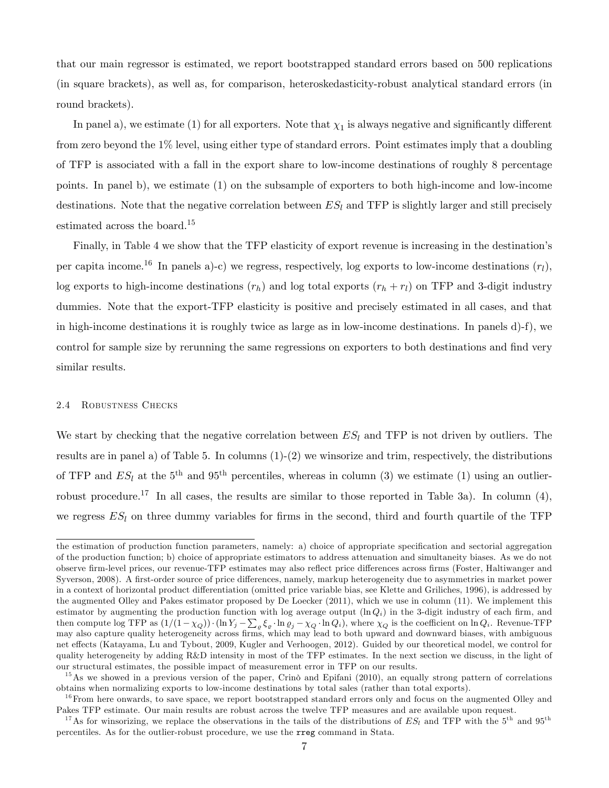that our main regressor is estimated, we report bootstrapped standard errors based on 500 replications (in square brackets), as well as, for comparison, heteroskedasticity-robust analytical standard errors (in round brackets).

In panel a), we estimate (1) for all exporters. Note that  $\chi_1$  is always negative and significantly different from zero beyond the 1% level, using either type of standard errors. Point estimates imply that a doubling of TFP is associated with a fall in the export share to low-income destinations of roughly 8 percentage points. In panel b), we estimate (1) on the subsample of exporters to both high-income and low-income destinations. Note that the negative correlation between  $ES<sub>l</sub>$  and TFP is slightly larger and still precisely estimated across the board.<sup>15</sup>

Finally, in Table 4 we show that the TFP elasticity of export revenue is increasing in the destination's per capita income.<sup>16</sup> In panels a)-c) we regress, respectively, log exports to low-income destinations  $(r_l)$ , log exports to high-income destinations  $(r_h)$  and log total exports  $(r_h + r_l)$  on TFP and 3-digit industry dummies. Note that the export-TFP elasticity is positive and precisely estimated in all cases, and that in high-income destinations it is roughly twice as large as in low-income destinations. In panels d)-f), we control for sample size by rerunning the same regressions on exporters to both destinations and find very similar results.

## 2.4 Robustness Checks

We start by checking that the negative correlation between  $ES_l$  and TFP is not driven by outliers. The results are in panel a) of Table 5. In columns (1)-(2) we winsorize and trim, respectively, the distributions of TFP and  $ES_l$  at the 5<sup>th</sup> and 95<sup>th</sup> percentiles, whereas in column (3) we estimate (1) using an outlierrobust procedure.<sup>17</sup> In all cases, the results are similar to those reported in Table 3a). In column (4), we regress  $ES_l$  on three dummy variables for firms in the second, third and fourth quartile of the TFP

the estimation of production function parameters, namely: a) choice of appropriate specification and sectorial aggregation of the production function; b) choice of appropriate estimators to address attenuation and simultaneity biases. As we do not observe firm-level prices, our revenue-TFP estimates may also reflect price differences across firms (Foster, Haltiwanger and Syverson, 2008). A first-order source of price differences, namely, markup heterogeneity due to asymmetries in market power in a context of horizontal product differentiation (omitted price variable bias, see Klette and Griliches, 1996), is addressed by the augmented Olley and Pakes estimator proposed by De Loecker (2011), which we use in column (11). We implement this estimator by augmenting the production function with log average output  $(\ln Q_i)$  in the 3-digit industry of each firm, and then compute log TFP as  $(1/(1-\chi_Q)) \cdot (\ln Y_j - \sum_{\varrho} \xi_{\varrho} \cdot \ln \varrho_j - \chi_Q \cdot \ln Q_i)$ , where  $\chi_Q$  is the coefficient on  $\ln Q_i$ . Revenue-TFP may also capture quality heterogeneity across firms, which may lead to both upward and down net effects (Katayama, Lu and Tybout, 2009, Kugler and Verhoogen, 2012). Guided by our theoretical model, we control for quality heterogeneity by adding R&D intensity in most of the TFP estimates. In the next section we discuss, in the light of our structural estimates, the possible impact of measurement error in TFP on our results.

 $15$ As we showed in a previous version of the paper, Crinõ and Epifani (2010), an equally strong pattern of correlations obtains when normalizing exports to low-income destinations by total sales (rather than total exports).

 $16$  From here onwards, to save space, we report bootstrapped standard errors only and focus on the augmented Olley and Pakes TFP estimate. Our main results are robust across the twelve TFP measures and are available upon request.

<sup>&</sup>lt;sup>17</sup>As for winsorizing, we replace the observations in the tails of the distributions of  $ES_l$  and TFP with the 5<sup>th</sup> and 95<sup>th</sup> percentiles. As for the outlier-robust procedure, we use the rreg command in Stata.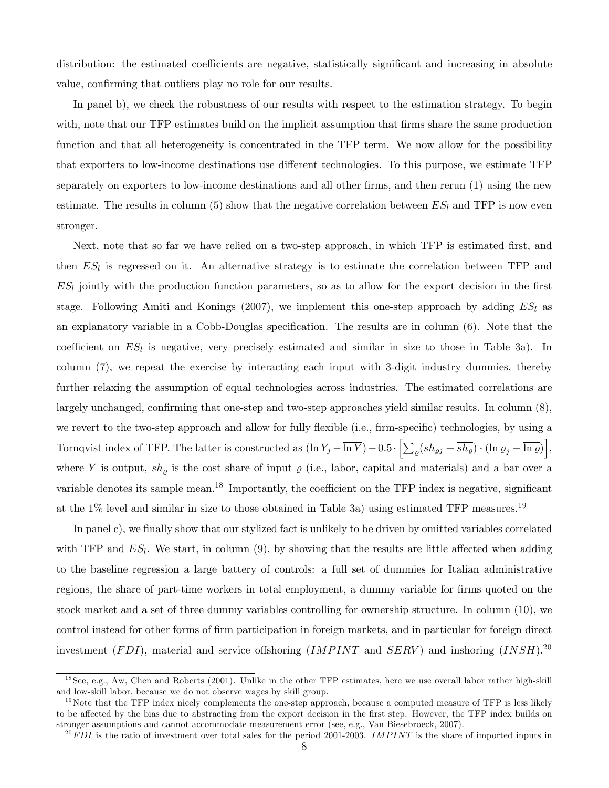distribution: the estimated coefficients are negative, statistically significant and increasing in absolute value, confirming that outliers play no role for our results.

In panel b), we check the robustness of our results with respect to the estimation strategy. To begin with, note that our TFP estimates build on the implicit assumption that firms share the same production function and that all heterogeneity is concentrated in the TFP term. We now allow for the possibility that exporters to low-income destinations use different technologies. To this purpose, we estimate TFP separately on exporters to low-income destinations and all other firms, and then rerun  $(1)$  using the new estimate. The results in column (5) show that the negative correlation between  $ES_l$  and TFP is now even stronger.

Next, note that so far we have relied on a two-step approach, in which TFP is estimated first, and then  $ES_l$  is regressed on it. An alternative strategy is to estimate the correlation between TFP and  $ES_l$  jointly with the production function parameters, so as to allow for the export decision in the first stage. Following Amiti and Konings (2007), we implement this one-step approach by adding  $ES_l$  as an explanatory variable in a Cobb-Douglas specification. The results are in column  $(6)$ . Note that the coefficient on  $ES_l$  is negative, very precisely estimated and similar in size to those in Table 3a). In column (7), we repeat the exercise by interacting each input with 3-digit industry dummies, thereby further relaxing the assumption of equal technologies across industries. The estimated correlations are largely unchanged, confirming that one-step and two-step approaches yield similar results. In column  $(8)$ , we revert to the two-step approach and allow for fully flexible (i.e., firm-specific) technologies, by using a Tornqvist index of TFP. The latter is constructed as  $(\ln Y_j - \overline{\ln Y}) - 0.5 \cdot \left[ \sum_{\varrho} (s h_{\varrho j} + \overline{s h_{\varrho}}) \cdot (\ln \varrho_j - \overline{\ln \varrho}) \right],$ where Y is output,  $sh_{\rho}$  is the cost share of input  $\rho$  (i.e., labor, capital and materials) and a bar over a variable denotes its sample mean.<sup>18</sup> Importantly, the coefficient on the TFP index is negative, significant at the  $1\%$  level and similar in size to those obtained in Table 3a) using estimated TFP measures.<sup>19</sup>

In panel c), we finally show that our stylized fact is unlikely to be driven by omitted variables correlated with TFP and  $ES_l$ . We start, in column (9), by showing that the results are little affected when adding to the baseline regression a large battery of controls: a full set of dummies for Italian administrative regions, the share of part-time workers in total employment, a dummy variable for firms quoted on the stock market and a set of three dummy variables controlling for ownership structure. In column (10), we control instead for other forms of Örm participation in foreign markets, and in particular for foreign direct investment (FDI), material and service offshoring (IMPINT and SERV) and inshoring (INSH).<sup>20</sup>

 $^{18}$ See, e.g., Aw, Chen and Roberts (2001). Unlike in the other TFP estimates, here we use overall labor rather high-skill and low-skill labor, because we do not observe wages by skill group.

 $19$ Note that the TFP index nicely complements the one-step approach, because a computed measure of TFP is less likely to be affected by the bias due to abstracting from the export decision in the first step. However, the TFP index builds on stronger assumptions and cannot accommodate measurement error (see, e.g., Van Biesebroeck, 2007).

 $^{20}FDI$  is the ratio of investment over total sales for the period 2001-2003. IMPINT is the share of imported inputs in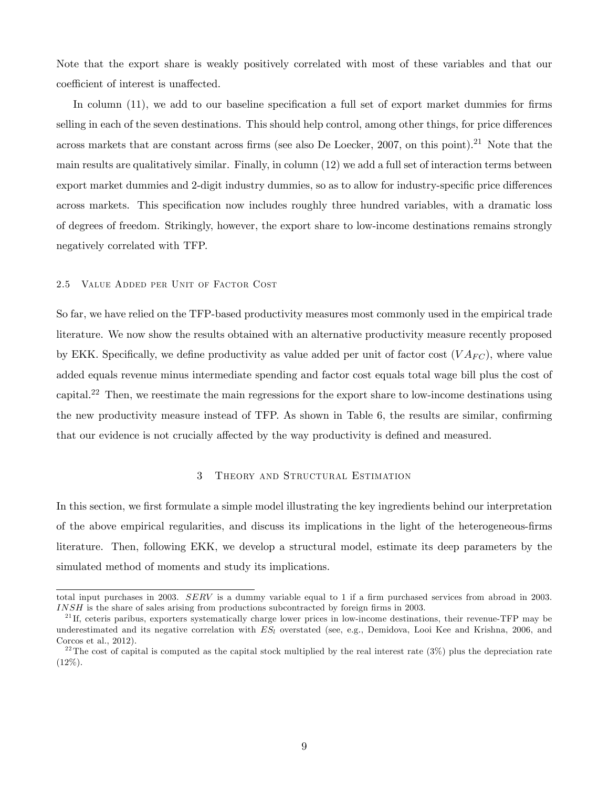Note that the export share is weakly positively correlated with most of these variables and that our coefficient of interest is unaffected.

In column  $(11)$ , we add to our baseline specification a full set of export market dummies for firms selling in each of the seven destinations. This should help control, among other things, for price differences across markets that are constant across firms (see also De Loecker, 2007, on this point).<sup>21</sup> Note that the main results are qualitatively similar. Finally, in column (12) we add a full set of interaction terms between export market dummies and 2-digit industry dummies, so as to allow for industry-specific price differences across markets. This specification now includes roughly three hundred variables, with a dramatic loss of degrees of freedom. Strikingly, however, the export share to low-income destinations remains strongly negatively correlated with TFP.

## 2.5 Value Added per Unit of Factor Cost

So far, we have relied on the TFP-based productivity measures most commonly used in the empirical trade literature. We now show the results obtained with an alternative productivity measure recently proposed by EKK. Specifically, we define productivity as value added per unit of factor cost  $(V A_{FC})$ , where value added equals revenue minus intermediate spending and factor cost equals total wage bill plus the cost of capital.<sup>22</sup> Then, we reestimate the main regressions for the export share to low-income destinations using the new productivity measure instead of TFP. As shown in Table 6, the results are similar, confirming that our evidence is not crucially affected by the way productivity is defined and measured.

# 3 Theory and Structural Estimation

In this section, we first formulate a simple model illustrating the key ingredients behind our interpretation of the above empirical regularities, and discuss its implications in the light of the heterogeneous-Örms literature. Then, following EKK, we develop a structural model, estimate its deep parameters by the simulated method of moments and study its implications.

total input purchases in 2003. SERV is a dummy variable equal to 1 if a firm purchased services from abroad in 2003.  $INSH$  is the share of sales arising from productions subcontracted by foreign firms in 2003.

 $^{21}$ If, ceteris paribus, exporters systematically charge lower prices in low-income destinations, their revenue-TFP may be underestimated and its negative correlation with  $ES_l$  overstated (see, e.g., Demidova, Looi Kee and Krishna, 2006, and Corcos et al., 2012).

<sup>&</sup>lt;sup>22</sup>The cost of capital is computed as the capital stock multiplied by the real interest rate  $(3\%)$  plus the depreciation rate  $(12\%).$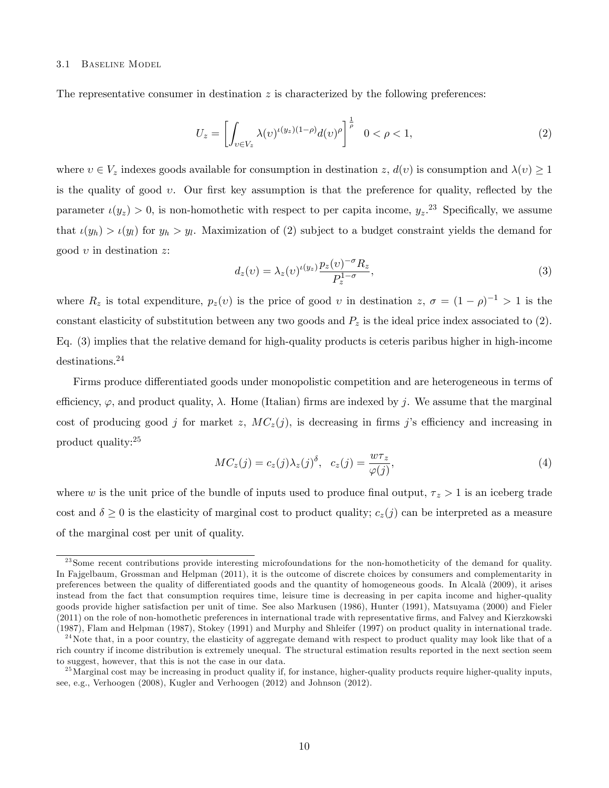## 3.1 Baseline Model

The representative consumer in destination  $z$  is characterized by the following preferences:

$$
U_z = \left[ \int_{v \in V_z} \lambda(v)^{\iota(y_z)(1-\rho)} d(v)^{\rho} \right]^{\frac{1}{\rho}} \quad 0 < \rho < 1,\tag{2}
$$

where  $v \in V_z$  indexes goods available for consumption in destination z,  $d(v)$  is consumption and  $\lambda(v) \geq 1$ is the quality of good  $v$ . Our first key assumption is that the preference for quality, reflected by the parameter  $\iota(y_z) > 0$ , is non-homothetic with respect to per capita income,  $y_z$ .<sup>23</sup> Specifically, we assume that  $\iota(y_h) > \iota(y_l)$  for  $y_h > y_l$ . Maximization of (2) subject to a budget constraint yields the demand for good  $v$  in destination  $z$ :

$$
d_z(v) = \lambda_z(v)^{\iota(y_z)} \frac{p_z(v)^{-\sigma} R_z}{P_z^{1-\sigma}},
$$
\n(3)

where  $R_z$  is total expenditure,  $p_z(v)$  is the price of good v in destination  $z, \sigma = (1 - \rho)^{-1} > 1$  is the constant elasticity of substitution between any two goods and  $P_z$  is the ideal price index associated to (2). Eq. (3) implies that the relative demand for high-quality products is ceteris paribus higher in high-income destinations.<sup>24</sup>

Firms produce differentiated goods under monopolistic competition and are heterogeneous in terms of efficiency,  $\varphi$ , and product quality,  $\lambda$ . Home (Italian) firms are indexed by j. We assume that the marginal cost of producing good j for market z,  $MC_z(j)$ , is decreasing in firms j's efficiency and increasing in product quality:<sup>25</sup>

$$
MC_z(j) = c_z(j)\lambda_z(j)^\delta, \quad c_z(j) = \frac{w\tau_z}{\varphi(j)},\tag{4}
$$

where w is the unit price of the bundle of inputs used to produce final output,  $\tau_z > 1$  is an iceberg trade cost and  $\delta \geq 0$  is the elasticity of marginal cost to product quality;  $c_z(j)$  can be interpreted as a measure of the marginal cost per unit of quality.

 $23$  Some recent contributions provide interesting microfoundations for the non-homotheticity of the demand for quality. In Fajgelbaum, Grossman and Helpman (2011), it is the outcome of discrete choices by consumers and complementarity in preferences between the quality of differentiated goods and the quantity of homogeneous goods. In Alcalà (2009), it arises instead from the fact that consumption requires time, leisure time is decreasing in per capita income and higher-quality goods provide higher satisfaction per unit of time. See also Markusen (1986), Hunter (1991), Matsuyama (2000) and Fieler (2011) on the role of non-homothetic preferences in international trade with representative firms, and Falvey and Kierzkowski (1987), Flam and Helpman (1987), Stokey (1991) and Murphy and Shleifer (1997) on product quality in international trade.

 $^{24}$ Note that, in a poor country, the elasticity of aggregate demand with respect to product quality may look like that of a rich country if income distribution is extremely unequal. The structural estimation results reported in the next section seem to suggest, however, that this is not the case in our data.

<sup>&</sup>lt;sup>25</sup> Marginal cost may be increasing in product quality if, for instance, higher-quality products require higher-quality inputs, see, e.g., Verhoogen (2008), Kugler and Verhoogen (2012) and Johnson (2012).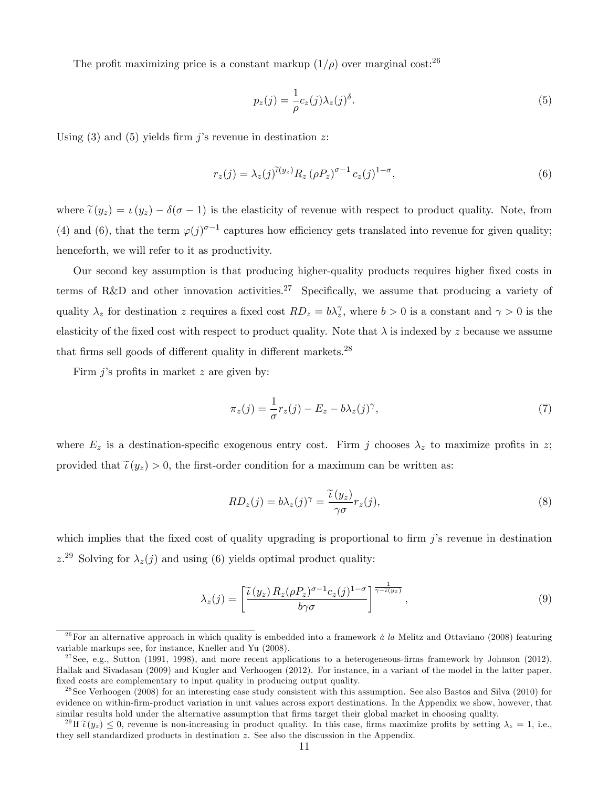The profit maximizing price is a constant markup  $(1/\rho)$  over marginal cost:<sup>26</sup>

$$
p_z(j) = \frac{1}{\rho} c_z(j) \lambda_z(j)^{\delta}.
$$
\n(5)

Using  $(3)$  and  $(5)$  yields firm j's revenue in destination z:

$$
r_z(j) = \lambda_z(j)^{\widetilde{\iota}(y_z)} R_z \left(\rho P_z\right)^{\sigma - 1} c_z(j)^{1 - \sigma},\tag{6}
$$

where  $\tilde{\iota}(y_z) = \iota(y_z) - \delta(\sigma - 1)$  is the elasticity of revenue with respect to product quality. Note, from (4) and (6), that the term  $\varphi(j)^{\sigma-1}$  captures how efficiency gets translated into revenue for given quality; henceforth, we will refer to it as productivity.

Our second key assumption is that producing higher-quality products requires higher fixed costs in terms of R&D and other innovation activities.<sup>27</sup> Specifically, we assume that producing a variety of quality  $\lambda_z$  for destination z requires a fixed cost  $RD_z = b\lambda_z^{\gamma}$ , where  $b > 0$  is a constant and  $\gamma > 0$  is the elasticity of the fixed cost with respect to product quality. Note that  $\lambda$  is indexed by z because we assume that firms sell goods of different quality in different markets. $^{28}$ 

Firm  $j$ 's profits in market  $z$  are given by:

$$
\pi_z(j) = \frac{1}{\sigma} r_z(j) - E_z - b\lambda_z(j)^{\gamma},\tag{7}
$$

where  $E_z$  is a destination-specific exogenous entry cost. Firm j chooses  $\lambda_z$  to maximize profits in z; provided that  $\tilde{\iota}(y_z) > 0$ , the first-order condition for a maximum can be written as:

$$
RD_z(j) = b\lambda_z(j)^\gamma = \frac{\tilde{\iota}(y_z)}{\gamma \sigma} r_z(j),\tag{8}
$$

which implies that the fixed cost of quality upgrading is proportional to firm  $j$ 's revenue in destination  $z^{29}$  Solving for  $\lambda_z(j)$  and using (6) yields optimal product quality:

$$
\lambda_z(j) = \left[ \frac{\tilde{\iota}(y_z) R_z(\rho P_z)^{\sigma - 1} c_z(j)^{1 - \sigma}}{b \gamma \sigma} \right]^{\frac{1}{\gamma - \tilde{\iota}(y_z)}},\tag{9}
$$

<sup>&</sup>lt;sup>26</sup>For an alternative approach in which quality is embedded into a framework  $\dot{a}$  la Melitz and Ottaviano (2008) featuring variable markups see, for instance, Kneller and Yu (2008).

<sup>&</sup>lt;sup>27</sup>See, e.g., Sutton (1991, 1998), and more recent applications to a heterogeneous-firms framework by Johnson (2012). Hallak and Sivadasan (2009) and Kugler and Verhoogen (2012). For instance, in a variant of the model in the latter paper, fixed costs are complementary to input quality in producing output quality.

 $^{28}$ See Verhoogen (2008) for an interesting case study consistent with this assumption. See also Bastos and Silva (2010) for evidence on within-Örm-product variation in unit values across export destinations. In the Appendix we show, however, that similar results hold under the alternative assumption that firms target their global market in choosing quality.

<sup>&</sup>lt;sup>29</sup>If  $\tilde{\iota}(y_z) \leq 0$ , revenue is non-increasing in product quality. In this case, firms maximize profits by setting  $\lambda_z = 1$ , i.e., they sell standardized products in destination z. See also the discussion in the Appendix.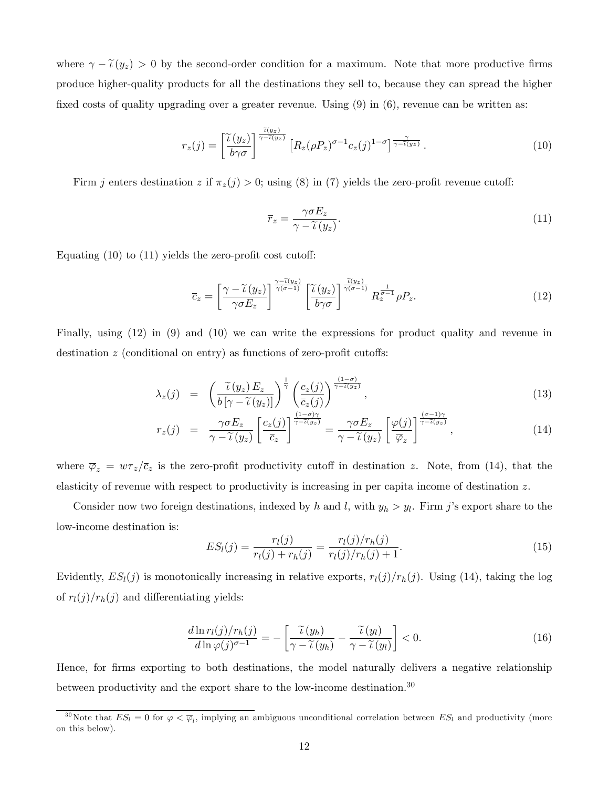where  $\gamma - \tilde{\iota}(y_z) > 0$  by the second-order condition for a maximum. Note that more productive firms produce higher-quality products for all the destinations they sell to, because they can spread the higher fixed costs of quality upgrading over a greater revenue. Using  $(9)$  in  $(6)$ , revenue can be written as:

$$
r_z(j) = \left[\frac{\tilde{\iota}(y_z)}{b\gamma\sigma}\right]^{\frac{\tilde{\iota}(y_z)}{\gamma - \tilde{\iota}(y_z)}} \left[R_z(\rho P_z)^{\sigma - 1}c_z(j)^{1 - \sigma}\right]^{\frac{\gamma}{\gamma - \tilde{\iota}(y_z)}}.
$$
\n(10)

Firm j enters destination z if  $\pi_z(j) > 0$ ; using (8) in (7) yields the zero-profit revenue cutoff:

$$
\overline{r}_z = \frac{\gamma \sigma E_z}{\gamma - \widetilde{\iota}(y_z)}.
$$
\n(11)

Equating  $(10)$  to  $(11)$  yields the zero-profit cost cutoff:

$$
\overline{c}_z = \left[\frac{\gamma - \widetilde{\iota}(y_z)}{\gamma \sigma E_z}\right]^{\frac{\gamma - \widetilde{\iota}(y_z)}{\gamma(\sigma - 1)}} \left[\frac{\widetilde{\iota}(y_z)}{b\gamma \sigma}\right]^{\frac{\widetilde{\iota}(y_z)}{\gamma(\sigma - 1)}} R_z^{\frac{1}{\sigma - 1}} \rho P_z. \tag{12}
$$

Finally, using (12) in (9) and (10) we can write the expressions for product quality and revenue in destination  $z$  (conditional on entry) as functions of zero-profit cutoffs:

$$
\lambda_z(j) = \left( \frac{\widetilde{\iota}(y_z) E_z}{b \left[ \gamma - \widetilde{\iota}(y_z) \right]} \right)^{\frac{1}{\gamma}} \left( \frac{c_z(j)}{\overline{c}_z(j)} \right)^{\frac{(1-\sigma)}{\gamma - \widetilde{\iota}(y_z)}},\tag{13}
$$

$$
r_z(j) = \frac{\gamma \sigma E_z}{\gamma - \widetilde{\iota}(y_z)} \left[ \frac{c_z(j)}{\overline{c}_z} \right]^{\frac{(1-\sigma)\gamma}{\gamma - \widetilde{\iota}(y_z)}} = \frac{\gamma \sigma E_z}{\gamma - \widetilde{\iota}(y_z)} \left[ \frac{\varphi(j)}{\overline{\varphi}_z} \right]^{\frac{(\sigma - 1)\gamma}{\gamma - \widetilde{\iota}(y_z)}} , \tag{14}
$$

where  $\overline{\varphi}_z = w\tau_z/\overline{c}_z$  is the zero-profit productivity cutoff in destination z. Note, from (14), that the elasticity of revenue with respect to productivity is increasing in per capita income of destination z.

Consider now two foreign destinations, indexed by h and l, with  $y_h > y_l$ . Firm j's export share to the low-income destination is:

$$
ES_l(j) = \frac{r_l(j)}{r_l(j) + r_h(j)} = \frac{r_l(j)/r_h(j)}{r_l(j)/r_h(j) + 1}.
$$
\n(15)

Evidently,  $ES_l(j)$  is monotonically increasing in relative exports,  $r_l(j)/r_h(j)$ . Using (14), taking the log of  $r_l(j)/r_h(j)$  and differentiating yields:

$$
\frac{d\ln r_l(j)/r_h(j)}{d\ln \varphi(j)^{\sigma-1}} = -\left[\frac{\widetilde{\iota}(y_h)}{\gamma - \widetilde{\iota}(y_h)} - \frac{\widetilde{\iota}(y_l)}{\gamma - \widetilde{\iota}(y_l)}\right] < 0. \tag{16}
$$

Hence, for firms exporting to both destinations, the model naturally delivers a negative relationship between productivity and the export share to the low-income destination.<sup>30</sup>

<sup>&</sup>lt;sup>30</sup>Note that  $ES_l = 0$  for  $\varphi < \overline{\varphi}_l$ , implying an ambiguous unconditional correlation between  $ES_l$  and productivity (more on this below).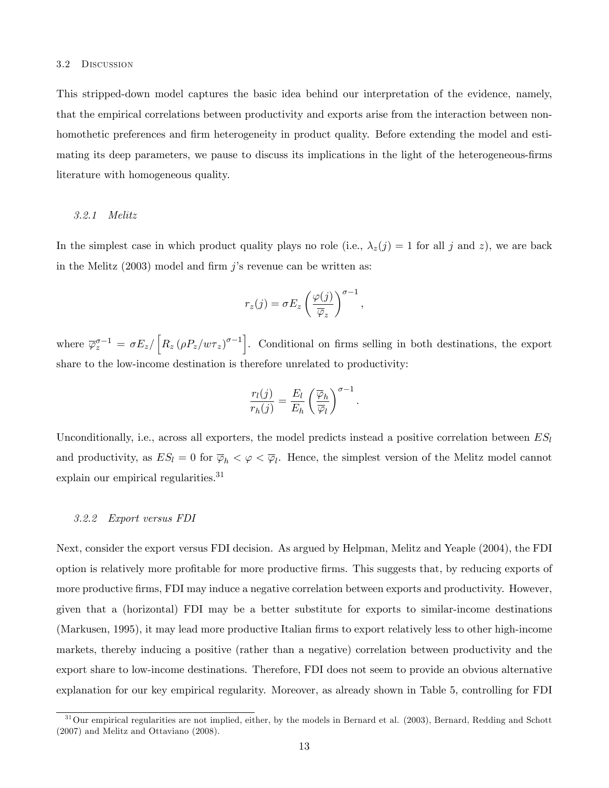#### 3.2 Discussion

This stripped-down model captures the basic idea behind our interpretation of the evidence, namely, that the empirical correlations between productivity and exports arise from the interaction between nonhomothetic preferences and firm heterogeneity in product quality. Before extending the model and estimating its deep parameters, we pause to discuss its implications in the light of the heterogeneous-firms literature with homogeneous quality.

#### 3.2.1 Melitz

In the simplest case in which product quality plays no role (i.e.,  $\lambda_z(j) = 1$  for all j and z), we are back in the Melitz  $(2003)$  model and firm j's revenue can be written as:

$$
r_z(j) = \sigma E_z \left(\frac{\varphi(j)}{\overline{\varphi}_z}\right)^{\sigma-1},
$$

where  $\overline{\varphi}_z^{\sigma-1} = \sigma E_z / \left[ R_z (\rho P_z / \omega \tau_z)^{\sigma-1} \right]$ . Conditional on firms selling in both destinations, the export share to the low-income destination is therefore unrelated to productivity:

$$
\frac{r_l(j)}{r_h(j)} = \frac{E_l}{E_h} \left(\frac{\overline{\varphi}_h}{\overline{\varphi}_l}\right)^{\sigma-1}.
$$

Unconditionally, i.e., across all exporters, the model predicts instead a positive correlation between  $ES_l$ and productivity, as  $ES_l = 0$  for  $\overline{\varphi}_h < \varphi < \overline{\varphi}_l$ . Hence, the simplest version of the Melitz model cannot explain our empirical regularities.<sup>31</sup>

#### 3.2.2 Export versus FDI

Next, consider the export versus FDI decision. As argued by Helpman, Melitz and Yeaple (2004), the FDI option is relatively more profitable for more productive firms. This suggests that, by reducing exports of more productive firms, FDI may induce a negative correlation between exports and productivity. However, given that a (horizontal) FDI may be a better substitute for exports to similar-income destinations (Markusen, 1995), it may lead more productive Italian firms to export relatively less to other high-income markets, thereby inducing a positive (rather than a negative) correlation between productivity and the export share to low-income destinations. Therefore, FDI does not seem to provide an obvious alternative explanation for our key empirical regularity. Moreover, as already shown in Table 5, controlling for FDI

 $31$ Our empirical regularities are not implied, either, by the models in Bernard et al. (2003), Bernard, Redding and Schott (2007) and Melitz and Ottaviano (2008).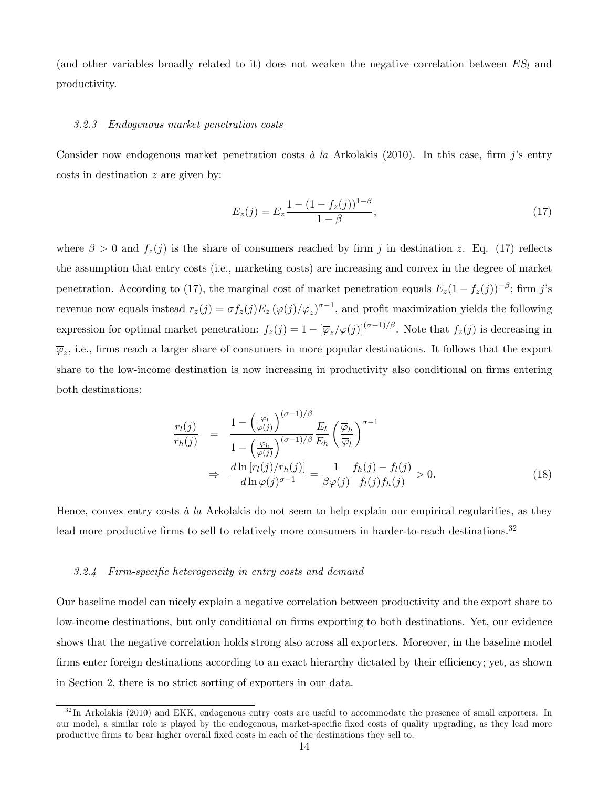(and other variables broadly related to it) does not weaken the negative correlation between  $ES_l$  and productivity.

#### 3.2.3 Endogenous market penetration costs

Consider now endogenous market penetration costs à la Arkolakis (2010). In this case, firm j's entry costs in destination z are given by:

$$
E_z(j) = E_z \frac{1 - (1 - f_z(j))^{1 - \beta}}{1 - \beta},\tag{17}
$$

where  $\beta > 0$  and  $f_z(j)$  is the share of consumers reached by firm j in destination z. Eq. (17) reflects the assumption that entry costs (i.e., marketing costs) are increasing and convex in the degree of market penetration. According to (17), the marginal cost of market penetration equals  $E_z(1-f_z(j))^{-\beta}$ ; firm j's revenue now equals instead  $r_z(j) = \sigma f_z(j) E_z (\varphi(j) / \overline{\varphi}_z)^{\sigma - 1}$ , and profit maximization yields the following expression for optimal market penetration:  $f_z(j) = 1 - [\overline{\varphi}_z/\varphi(j)]^{(\sigma-1)/\beta}$ . Note that  $f_z(j)$  is decreasing in  $\overline{\varphi}_z$ , i.e., firms reach a larger share of consumers in more popular destinations. It follows that the export share to the low-income destination is now increasing in productivity also conditional on firms entering both destinations:

$$
\frac{r_l(j)}{r_h(j)} = \frac{1 - \left(\frac{\overline{\varphi}_l}{\varphi(j)}\right)^{(\sigma - 1)/\beta} E_l}{1 - \left(\frac{\overline{\varphi}_h}{\varphi(j)}\right)^{(\sigma - 1)/\beta} E_h} \left(\frac{\overline{\varphi}_h}{\overline{\varphi}_l}\right)^{\sigma - 1}
$$
\n
$$
\Rightarrow \frac{d \ln[r_l(j)/r_h(j)]}{d \ln \varphi(j)^{\sigma - 1}} = \frac{1}{\beta \varphi(j)} \frac{f_h(j) - f_l(j)}{f_l(j)f_h(j)} > 0. \tag{18}
$$

Hence, convex entry costs  $\dot{a}$  la Arkolakis do not seem to help explain our empirical regularities, as they lead more productive firms to sell to relatively more consumers in harder-to-reach destinations.<sup>32</sup>

#### 3.2.4 Firm-specific heterogeneity in entry costs and demand

Our baseline model can nicely explain a negative correlation between productivity and the export share to low-income destinations, but only conditional on firms exporting to both destinations. Yet, our evidence shows that the negative correlation holds strong also across all exporters. Moreover, in the baseline model firms enter foreign destinations according to an exact hierarchy dictated by their efficiency; yet, as shown in Section 2, there is no strict sorting of exporters in our data.

 $3<sup>32</sup>$  In Arkolakis (2010) and EKK, endogenous entry costs are useful to accommodate the presence of small exporters. In our model, a similar role is played by the endogenous, market-specific fixed costs of quality upgrading, as they lead more productive Örms to bear higher overall Öxed costs in each of the destinations they sell to.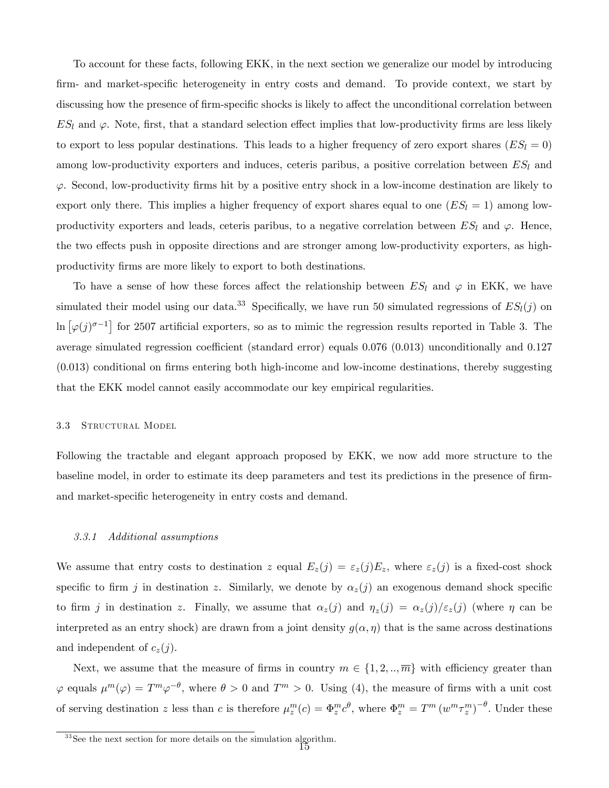To account for these facts, following EKK, in the next section we generalize our model by introducing firm- and market-specific heterogeneity in entry costs and demand. To provide context, we start by discussing how the presence of firm-specific shocks is likely to affect the unconditional correlation between  $ES_l$  and  $\varphi$ . Note, first, that a standard selection effect implies that low-productivity firms are less likely to export to less popular destinations. This leads to a higher frequency of zero export shares ( $ES_l = 0$ ) among low-productivity exporters and induces, ceteris paribus, a positive correlation between  $ES_l$  and  $\varphi$ . Second, low-productivity firms hit by a positive entry shock in a low-income destination are likely to export only there. This implies a higher frequency of export shares equal to one  $(ES_l = 1)$  among lowproductivity exporters and leads, ceteris paribus, to a negative correlation between  $ES_l$  and  $\varphi$ . Hence, the two effects push in opposite directions and are stronger among low-productivity exporters, as highproductivity firms are more likely to export to both destinations.

To have a sense of how these forces affect the relationship between  $ES_l$  and  $\varphi$  in EKK, we have simulated their model using our data.<sup>33</sup> Specifically, we have run 50 simulated regressions of  $ES_l(j)$  on  $\ln \left[\varphi(j)^{\sigma-1}\right]$  for 2507 artificial exporters, so as to mimic the regression results reported in Table 3. The average simulated regression coefficient (standard error) equals  $0.076$  (0.013) unconditionally and  $0.127$  $(0.013)$  conditional on firms entering both high-income and low-income destinations, thereby suggesting that the EKK model cannot easily accommodate our key empirical regularities.

## 3.3 STRUCTURAL MODEL

Following the tractable and elegant approach proposed by EKK, we now add more structure to the baseline model, in order to estimate its deep parameters and test its predictions in the presence of firmand market-specific heterogeneity in entry costs and demand.

## 3.3.1 Additional assumptions

We assume that entry costs to destination z equal  $E_z(j) = \varepsilon_z(j)E_z$ , where  $\varepsilon_z(j)$  is a fixed-cost shock specific to firm j in destination z. Similarly, we denote by  $\alpha_z(j)$  an exogenous demand shock specific to firm j in destination z. Finally, we assume that  $\alpha_z(j)$  and  $\eta_z(j) = \alpha_z(j)/\epsilon_z(j)$  (where  $\eta$  can be interpreted as an entry shock) are drawn from a joint density  $g(\alpha, \eta)$  that is the same across destinations and independent of  $c_z(j)$ .

Next, we assume that the measure of firms in country  $m \in \{1, 2, \ldots, \overline{m}\}\$  with efficiency greater than  $\varphi$  equals  $\mu^m(\varphi) = T^m \varphi^{-\theta}$ , where  $\theta > 0$  and  $T^m > 0$ . Using (4), the measure of firms with a unit cost of serving destination z less than c is therefore  $\mu_z^m(c) = \Phi_z^m c^{\theta}$ , where  $\Phi_z^m = T^m (w^m \tau_z^m)^{-\theta}$ . Under these

<sup>&</sup>lt;sup>33</sup> See the next section for more details on the simulation algorithm.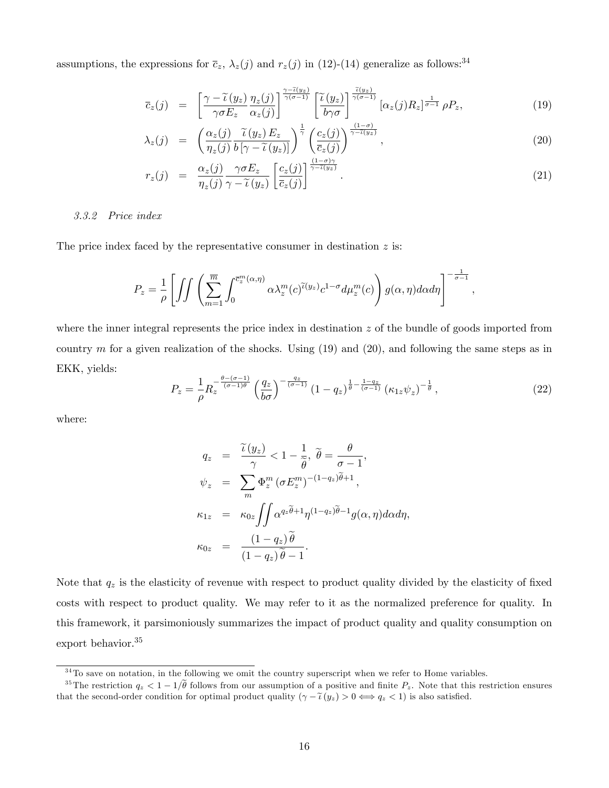assumptions, the expressions for  $\bar{c}_z$ ,  $\lambda_z(j)$  and  $r_z(j)$  in (12)-(14) generalize as follows:<sup>34</sup>

$$
\overline{c}_z(j) = \left[ \frac{\gamma - \widetilde{\iota}(y_z)}{\gamma \sigma E_z} \frac{\eta_z(j)}{\alpha_z(j)} \right]^{\frac{\gamma - \widetilde{\iota}(y_z)}{\gamma(\sigma - 1)}} \left[ \frac{\widetilde{\iota}(y_z)}{b\gamma \sigma} \right]^{\frac{\widetilde{\iota}(y_z)}{\gamma(\sigma - 1)}} [\alpha_z(j) R_z]^{\frac{1}{\sigma - 1}} \rho P_z, \tag{19}
$$

$$
\lambda_z(j) = \left( \frac{\alpha_z(j)}{\eta_z(j)} \frac{\widetilde{\iota}(y_z) E_z}{b \left[ \gamma - \widetilde{\iota}(y_z) \right]} \right)^{\frac{1}{\gamma}} \left( \frac{c_z(j)}{\overline{c}_z(j)} \right)^{\frac{(1-\sigma)}{\gamma - \widetilde{\iota}(y_z)}},\tag{20}
$$

$$
r_z(j) = \frac{\alpha_z(j)}{\eta_z(j)} \frac{\gamma \sigma E_z}{\gamma - \tilde{\iota}(y_z)} \left[ \frac{c_z(j)}{\bar{c}_z(j)} \right]^{\frac{(1-\sigma)\gamma}{\gamma - \tilde{\iota}(y_z)}}.
$$
\n(21)

## 3.3.2 Price index

The price index faced by the representative consumer in destination  $z$  is:

$$
P_z = \frac{1}{\rho} \left[ \iint \left( \sum_{m=1}^{\overline{m}} \int_0^{\overline{c}_z^m(\alpha,\eta)} \alpha \lambda_z^m(c)^{\widetilde{\iota}(y_z)} c^{1-\sigma} d\mu_z^m(c) \right) g(\alpha,\eta) d\alpha d\eta \right]^{-\frac{1}{\sigma-1}},
$$

where the inner integral represents the price index in destination  $z$  of the bundle of goods imported from country m for a given realization of the shocks. Using  $(19)$  and  $(20)$ , and following the same steps as in EKK, yields:

$$
P_z = \frac{1}{\rho} R_z^{\frac{\theta - (\sigma - 1)}{(\sigma - 1)\theta}} \left(\frac{q_z}{b\sigma}\right)^{-\frac{q_z}{(\sigma - 1)}} \left(1 - q_z\right)^{\frac{1}{\theta} - \frac{1 - q_z}{(\sigma - 1)}} \left(\kappa_{1z}\psi_z\right)^{-\frac{1}{\theta}},\tag{22}
$$

where:

$$
q_z = \frac{\widetilde{\iota}(y_z)}{\gamma} < 1 - \frac{1}{\widetilde{\theta}}, \ \widetilde{\theta} = \frac{\theta}{\sigma - 1},
$$
  

$$
\psi_z = \sum_m \Phi_z^m (\sigma E_z^m)^{-(1 - q_z)\widetilde{\theta} + 1},
$$
  

$$
\kappa_{1z} = \kappa_{0z} \iint \alpha^{q_z \widetilde{\theta} + 1} \eta^{(1 - q_z)\widetilde{\theta} - 1} g(\alpha, \eta) d\alpha d\eta,
$$
  

$$
\kappa_{0z} = \frac{(1 - q_z)\widetilde{\theta}}{(1 - q_z)\widetilde{\theta} - 1}.
$$

Note that  $q_z$  is the elasticity of revenue with respect to product quality divided by the elasticity of fixed costs with respect to product quality. We may refer to it as the normalized preference for quality. In this framework, it parsimoniously summarizes the impact of product quality and quality consumption on export behavior.<sup>35</sup>

 $34$ To save on notation, in the following we omit the country superscript when we refer to Home variables.

<sup>&</sup>lt;sup>35</sup>The restriction  $q_z < 1-1/\tilde{\theta}$  follows from our assumption of a positive and finite  $P_z$ . Note that this restriction ensures that the second-order condition for optimal product quality  $(\gamma - \tilde{\iota}(y_z) > 0 \Longleftrightarrow q_z < 1)$  is also satisfied.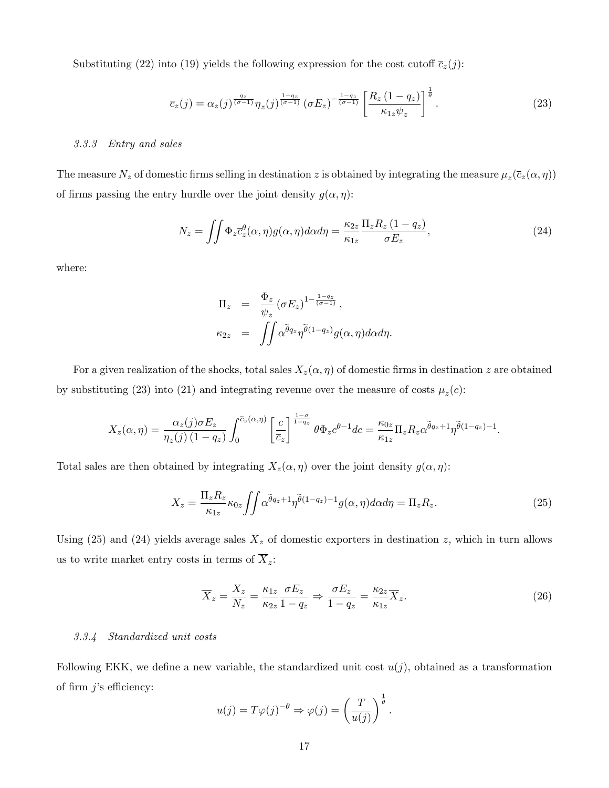Substituting (22) into (19) yields the following expression for the cost cutoff  $\bar{c}_z(j)$ :

$$
\overline{c}_z(j) = \alpha_z(j)^{\frac{q_z}{(\sigma-1)}} \eta_z(j)^{\frac{1-q_z}{(\sigma-1)}} \left(\sigma E_z\right)^{-\frac{1-q_z}{(\sigma-1)}} \left[\frac{R_z\left(1-q_z\right)}{\kappa_{1z}\psi_z}\right]^{\frac{1}{\theta}}.
$$
\n(23)

#### 3.3.3 Entry and sales

The measure  $N_z$  of domestic firms selling in destination z is obtained by integrating the measure  $\mu_z(\bar{c}_z(\alpha, \eta))$ of firms passing the entry hurdle over the joint density  $g(\alpha, \eta)$ :

$$
N_z = \iint \Phi_z \overline{c}_z^{\theta}(\alpha, \eta) g(\alpha, \eta) d\alpha d\eta = \frac{\kappa_{2z}}{\kappa_{1z}} \frac{\Pi_z R_z (1 - q_z)}{\sigma E_z},
$$
\n(24)

where:

$$
\Pi_z = \frac{\Phi_z}{\psi_z} (\sigma E_z)^{1 - \frac{1 - q_z}{(\sigma - 1)}},
$$
  

$$
\kappa_{2z} = \iint \alpha^{\tilde{\theta}q_z} \eta^{\tilde{\theta}(1 - q_z)} g(\alpha, \eta) d\alpha d\eta.
$$

For a given realization of the shocks, total sales  $X_z(\alpha, \eta)$  of domestic firms in destination z are obtained by substituting (23) into (21) and integrating revenue over the measure of costs  $\mu_z(c)$ :

$$
X_z(\alpha, \eta) = \frac{\alpha_z(j)\sigma E_z}{\eta_z(j)\left(1-q_z\right)} \int_0^{\overline{c}_z(\alpha, \eta)} \left[\frac{c}{\overline{c}_z}\right]^{\frac{1-\sigma}{1-q_z}} \theta \Phi_z c^{\theta-1} dc = \frac{\kappa_{0z}}{\kappa_{1z}} \Pi_z R_z \alpha^{\overline{\theta}q_z+1} \eta^{\overline{\theta}(1-q_z)-1}.
$$

Total sales are then obtained by integrating  $X_z(\alpha, \eta)$  over the joint density  $g(\alpha, \eta)$ :

$$
X_z = \frac{\Pi_z R_z}{\kappa_{1z}} \kappa_{0z} \iint \alpha^{\tilde{\theta}q_z + 1} \eta^{\tilde{\theta}(1 - q_z) - 1} g(\alpha, \eta) d\alpha d\eta = \Pi_z R_z.
$$
 (25)

Using (25) and (24) yields average sales  $\overline{X}_z$  of domestic exporters in destination z, which in turn allows us to write market entry costs in terms of  $\overline{X}_z$ :

$$
\overline{X}_z = \frac{X_z}{N_z} = \frac{\kappa_{1z}}{\kappa_{2z}} \frac{\sigma E_z}{1 - q_z} \Rightarrow \frac{\sigma E_z}{1 - q_z} = \frac{\kappa_{2z}}{\kappa_{1z}} \overline{X}_z.
$$
\n(26)

## 3.3.4 Standardized unit costs

Following EKK, we define a new variable, the standardized unit cost  $u(j)$ , obtained as a transformation of firm  $j$ 's efficiency:

$$
u(j) = T\varphi(j)^{-\theta} \Rightarrow \varphi(j) = \left(\frac{T}{u(j)}\right)^{\frac{1}{\theta}}.
$$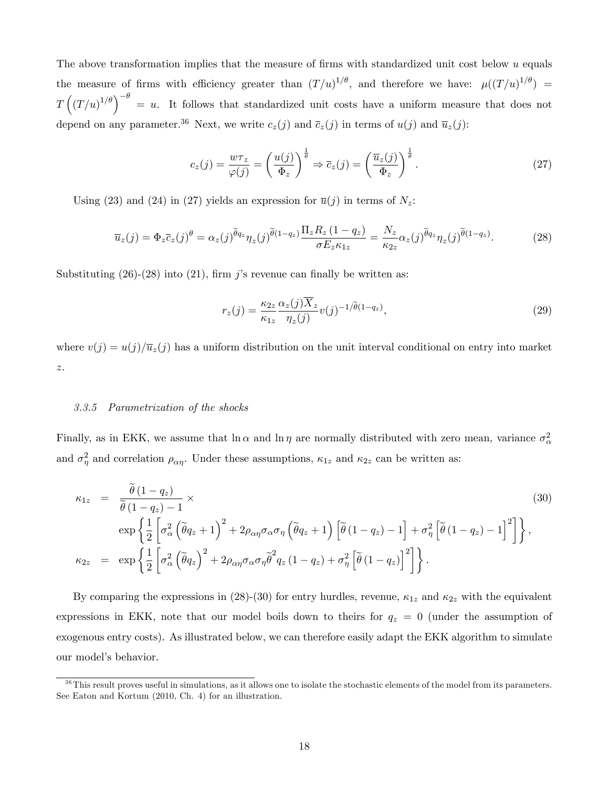The above transformation implies that the measure of firms with standardized unit cost below  $u$  equals the measure of firms with efficiency greater than  $(T/u)^{1/\theta}$ , and therefore we have:  $\mu((T/u)^{1/\theta}) =$  $T\left(\left(T/u\right)^{1/\theta}\right)^{-\theta} = u$ . It follows that standardized unit costs have a uniform measure that does not depend on any parameter.<sup>36</sup> Next, we write  $c_z(j)$  and  $\overline{c}_z(j)$  in terms of  $u(j)$  and  $\overline{u}_z(j)$ :

$$
c_z(j) = \frac{w\tau_z}{\varphi(j)} = \left(\frac{u(j)}{\Phi_z}\right)^{\frac{1}{\theta}} \Rightarrow \overline{c}_z(j) = \left(\frac{\overline{u}_z(j)}{\Phi_z}\right)^{\frac{1}{\theta}}.
$$
\n(27)

Using (23) and (24) in (27) yields an expression for  $\overline{u}(j)$  in terms of  $N_z$ :

$$
\overline{u}_z(j) = \Phi_z \overline{c}_z(j)^{\theta} = \alpha_z(j)^{\widetilde{\theta}q_z} \eta_z(j)^{\widetilde{\theta}(1-q_z)} \frac{\Pi_z R_z (1-q_z)}{\sigma E_z \kappa_{1z}} = \frac{N_z}{\kappa_{2z}} \alpha_z(j)^{\widetilde{\theta}q_z} \eta_z(j)^{\widetilde{\theta}(1-q_z)}.
$$
(28)

Substituting  $(26)-(28)$  into  $(21)$ , firm j's revenue can finally be written as:

$$
r_z(j) = \frac{\kappa_{2z}}{\kappa_{1z}} \frac{\alpha_z(j) \overline{X}_z}{\eta_z(j)} v(j)^{-1/\tilde{\theta}(1-q_z)},\tag{29}
$$

where  $v(j) = u(j)/\overline{u}_z(j)$  has a uniform distribution on the unit interval conditional on entry into market z.

## 3.3.5 Parametrization of the shocks

Finally, as in EKK, we assume that  $\ln \alpha$  and  $\ln \eta$  are normally distributed with zero mean, variance  $\sigma_{\alpha}^2$ and  $\sigma_{\eta}^2$  and correlation  $\rho_{\alpha\eta}$ . Under these assumptions,  $\kappa_{1z}$  and  $\kappa_{2z}$  can be written as:

$$
\kappa_{1z} = \frac{\tilde{\theta}(1 - q_z)}{\tilde{\theta}(1 - q_z) - 1} \times \qquad (30)
$$
\n
$$
\exp\left\{\frac{1}{2}\left[\sigma_{\alpha}^2\left(\tilde{\theta}q_z + 1\right)^2 + 2\rho_{\alpha\eta}\sigma_{\alpha}\sigma_{\eta}\left(\tilde{\theta}q_z + 1\right)\left[\tilde{\theta}\left(1 - q_z\right) - 1\right] + \sigma_{\eta}^2\left[\tilde{\theta}\left(1 - q_z\right) - 1\right]^2\right]\right\},\
$$
\n
$$
\kappa_{2z} = \exp\left\{\frac{1}{2}\left[\sigma_{\alpha}^2\left(\tilde{\theta}q_z\right)^2 + 2\rho_{\alpha\eta}\sigma_{\alpha}\sigma_{\eta}\tilde{\theta}^2q_z\left(1 - q_z\right) + \sigma_{\eta}^2\left[\tilde{\theta}\left(1 - q_z\right)\right]^2\right]\right\}.
$$
\n(30)

By comparing the expressions in (28)-(30) for entry hurdles, revenue,  $\kappa_{1z}$  and  $\kappa_{2z}$  with the equivalent expressions in EKK, note that our model boils down to theirs for  $q_z = 0$  (under the assumption of exogenous entry costs). As illustrated below, we can therefore easily adapt the EKK algorithm to simulate our model's behavior.

 $36$ This result proves useful in simulations, as it allows one to isolate the stochastic elements of the model from its parameters. See Eaton and Kortum (2010, Ch. 4) for an illustration.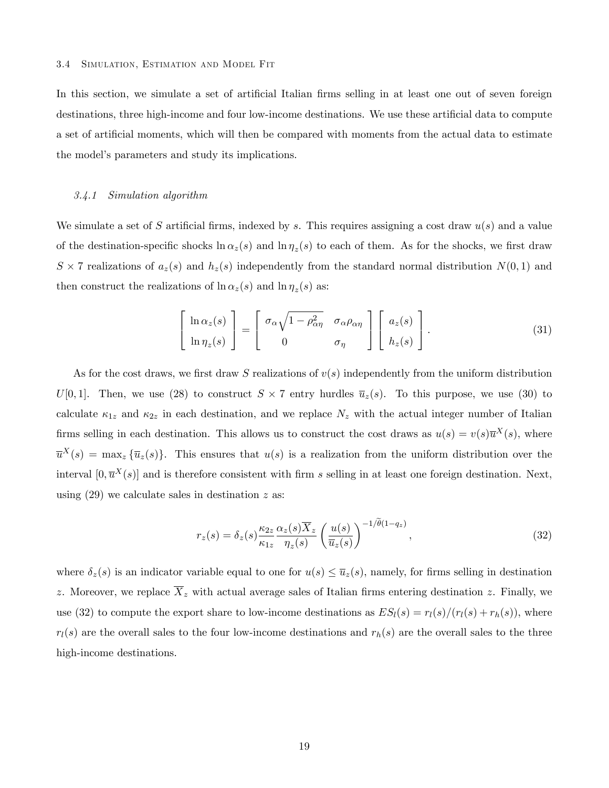In this section, we simulate a set of artificial Italian firms selling in at least one out of seven foreign destinations, three high-income and four low-income destinations. We use these artificial data to compute a set of artificial moments, which will then be compared with moments from the actual data to estimate the model's parameters and study its implications.

#### 3.4.1 Simulation algorithm

We simulate a set of S artificial firms, indexed by s. This requires assigning a cost draw  $u(s)$  and a value of the destination-specific shocks  $\ln \alpha_z(s)$  and  $\ln \eta_z(s)$  to each of them. As for the shocks, we first draw  $S \times 7$  realizations of  $a_z(s)$  and  $h_z(s)$  independently from the standard normal distribution  $N(0, 1)$  and then construct the realizations of  $\ln \alpha_z(s)$  and  $\ln \eta_z(s)$  as:

$$
\begin{bmatrix}\n\ln \alpha_z(s) \\
\ln \eta_z(s)\n\end{bmatrix} = \begin{bmatrix}\n\sigma_\alpha \sqrt{1 - \rho_{\alpha\eta}^2} & \sigma_\alpha \rho_{\alpha\eta} \\
0 & \sigma_\eta\n\end{bmatrix} \begin{bmatrix}\na_z(s) \\
h_z(s)\n\end{bmatrix}.
$$
\n(31)

As for the cost draws, we first draw S realizations of  $v(s)$  independently from the uniform distribution  $U[0,1]$ . Then, we use (28) to construct  $S \times 7$  entry hurdles  $\overline{u}_z(s)$ . To this purpose, we use (30) to calculate  $\kappa_{1z}$  and  $\kappa_{2z}$  in each destination, and we replace  $N_z$  with the actual integer number of Italian firms selling in each destination. This allows us to construct the cost draws as  $u(s) = v(s)\overline{u}^X(s)$ , where  $\overline{u}^X(s) = \max_z {\overline{u}_z(s)}$ . This ensures that  $u(s)$  is a realization from the uniform distribution over the interval  $[0, \overline{u}^X(s)]$  and is therefore consistent with firm s selling in at least one foreign destination. Next, using  $(29)$  we calculate sales in destination z as:

$$
r_z(s) = \delta_z(s) \frac{\kappa_{2z}}{\kappa_{1z}} \frac{\alpha_z(s) \overline{X}_z}{\eta_z(s)} \left(\frac{u(s)}{\overline{u}_z(s)}\right)^{-1/\tilde{\theta}(1-q_z)}, \qquad (32)
$$

where  $\delta_z(s)$  is an indicator variable equal to one for  $u(s) \leq \overline{u}_z(s)$ , namely, for firms selling in destination z. Moreover, we replace  $\overline{X}_z$  with actual average sales of Italian firms entering destination z. Finally, we use (32) to compute the export share to low-income destinations as  $ES_l(s) = r_l(s)/(r_l(s) + r_h(s))$ , where  $r_l(s)$  are the overall sales to the four low-income destinations and  $r_h(s)$  are the overall sales to the three high-income destinations.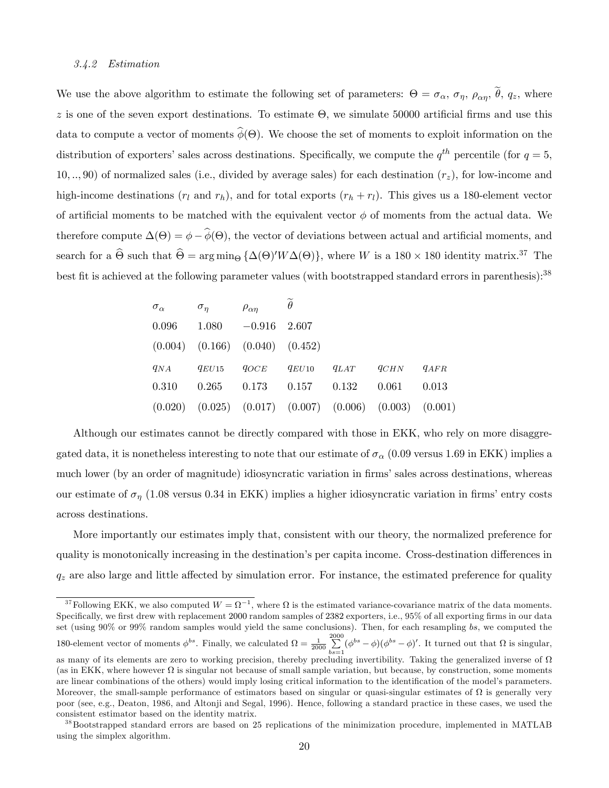## 3.4.2 Estimation

We use the above algorithm to estimate the following set of parameters:  $\Theta = \sigma_{\alpha}, \sigma_{\eta}, \rho_{\alpha\eta}, \theta, q_z$ , where z is one of the seven export destinations. To estimate  $\Theta$ , we simulate 50000 artificial firms and use this data to compute a vector of moments  $\phi(\Theta)$ . We choose the set of moments to exploit information on the distribution of exporters' sales across destinations. Specifically, we compute the  $q^{th}$  percentile (for  $q=5$ , 10, .., 90) of normalized sales (i.e., divided by average sales) for each destination  $(r<sub>z</sub>)$ , for low-income and high-income destinations  $(r_l$  and  $r_h$ ), and for total exports  $(r_h + r_l)$ . This gives us a 180-element vector of artificial moments to be matched with the equivalent vector  $\phi$  of moments from the actual data. We therefore compute  $\Delta(\Theta) = \phi - \phi(\Theta)$ , the vector of deviations between actual and artificial moments, and search for a  $\widehat{\Theta}$  such that  $\widehat{\Theta} = \arg \min_{\Theta} \{ \Delta(\Theta)' W \Delta(\Theta) \}$ , where W is a  $180 \times 180$  identity matrix.<sup>37</sup> The best fit is achieved at the following parameter values (with bootstrapped standard errors in parenthesis):<sup>38</sup>

| $\sigma_{\alpha}$ | $\sigma_n$                                                            | $\rho_{\alpha\eta}$  | $\widetilde{\theta}$ |                                                    |       |
|-------------------|-----------------------------------------------------------------------|----------------------|----------------------|----------------------------------------------------|-------|
| 0.096             |                                                                       | $1.080 -0.916$ 2.607 |                      |                                                    |       |
|                   | $(0.004)$ $(0.166)$ $(0.040)$ $(0.452)$                               |                      |                      |                                                    |       |
| $q_{NA}$          | $q_{EU15}$                                                            |                      |                      | $q_{OCE}$ $q_{EU10}$ $q_{LAT}$ $q_{CHN}$ $q_{AFR}$ |       |
| 0.310             |                                                                       |                      |                      | $0.265$ $0.173$ $0.157$ $0.132$ $0.061$            | 0.013 |
|                   | $(0.020)$ $(0.025)$ $(0.017)$ $(0.007)$ $(0.006)$ $(0.003)$ $(0.001)$ |                      |                      |                                                    |       |

Although our estimates cannot be directly compared with those in EKK, who rely on more disaggregated data, it is nonetheless interesting to note that our estimate of  $\sigma_{\alpha}$  (0.09 versus 1.69 in EKK) implies a much lower (by an order of magnitude) idiosyncratic variation in firms' sales across destinations, whereas our estimate of  $\sigma_{\eta}$  (1.08 versus 0.34 in EKK) implies a higher idiosyncratic variation in firms' entry costs across destinations.

More importantly our estimates imply that, consistent with our theory, the normalized preference for quality is monotonically increasing in the destination's per capita income. Cross-destination differences in  $q_z$  are also large and little affected by simulation error. For instance, the estimated preference for quality

<sup>&</sup>lt;sup>37</sup> Following EKK, we also computed  $W = \Omega^{-1}$ , where  $\Omega$  is the estimated variance-covariance matrix of the data moments. Specifically, we first drew with replacement 2000 random samples of 2382 exporters, i.e., 95% of all exporting firms in our data set (using 90% or 99% random samples would yield the same conclusions). Then, for each resampling bs, we computed the 180-element vector of moments  $\phi^{bs}$ . Finally, we calculated  $\Omega = \frac{1}{2000} \sum_{i=1}^{2000}$  $\sum_{bs=1}^{\infty} (\phi^{bs} - \phi)(\phi^{bs} - \phi)'$ . It turned out that  $\Omega$  is singular, as many of its elements are zero to working precision, thereby precluding invertibility. Taking the generalized inverse of  $\Omega$ (as in EKK, where however  $\Omega$  is singular not because of small sample variation, but because, by construction, some moments are linear combinations of the others) would imply losing critical information to the identification of the model's parameters. Moreover, the small-sample performance of estimators based on singular or quasi-singular estimates of  $\Omega$  is generally very poor (see, e.g., Deaton, 1986, and Altonji and Segal, 1996). Hence, following a standard practice in these cases, we used the consistent estimator based on the identity matrix.

<sup>&</sup>lt;sup>38</sup>Bootstrapped standard errors are based on 25 replications of the minimization procedure, implemented in MATLAB using the simplex algorithm.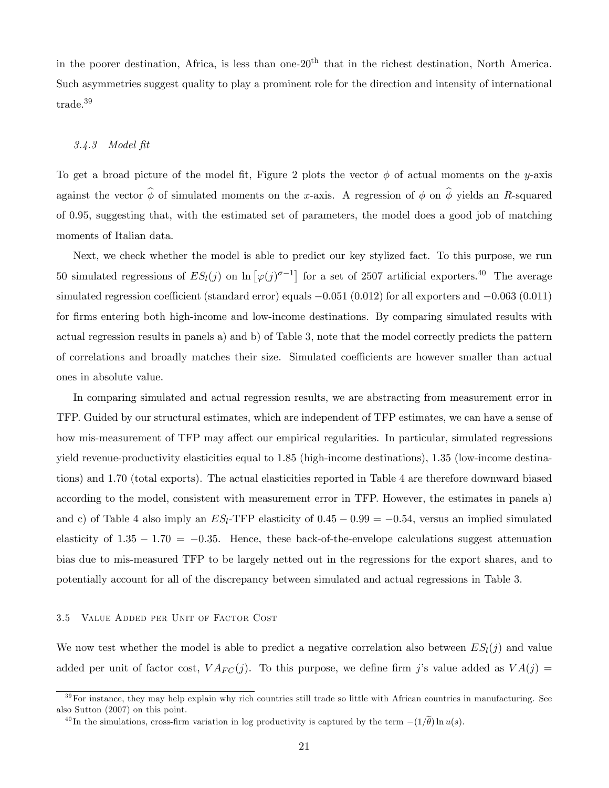in the poorer destination, Africa, is less than one-20th that in the richest destination, North America. Such asymmetries suggest quality to play a prominent role for the direction and intensity of international trade.<sup>39</sup>

## 3.4.3 Model Öt

To get a broad picture of the model fit, Figure 2 plots the vector  $\phi$  of actual moments on the y-axis against the vector  $\hat{\phi}$  of simulated moments on the x-axis. A regression of  $\phi$  on  $\hat{\phi}$  yields an R-squared of 0.95, suggesting that, with the estimated set of parameters, the model does a good job of matching moments of Italian data.

Next, we check whether the model is able to predict our key stylized fact. To this purpose, we run 50 simulated regressions of  $ES_l(j)$  on  $\ln [\varphi(j)^{\sigma-1}]$  for a set of 2507 artificial exporters.<sup>40</sup> The average simulated regression coefficient (standard error) equals  $-0.051$  (0.012) for all exporters and  $-0.063$  (0.011) for firms entering both high-income and low-income destinations. By comparing simulated results with actual regression results in panels a) and b) of Table 3, note that the model correctly predicts the pattern of correlations and broadly matches their size. Simulated coefficients are however smaller than actual ones in absolute value.

In comparing simulated and actual regression results, we are abstracting from measurement error in TFP. Guided by our structural estimates, which are independent of TFP estimates, we can have a sense of how mis-measurement of TFP may affect our empirical regularities. In particular, simulated regressions yield revenue-productivity elasticities equal to 1:85 (high-income destinations), 1:35 (low-income destinations) and 1:70 (total exports). The actual elasticities reported in Table 4 are therefore downward biased according to the model, consistent with measurement error in TFP. However, the estimates in panels a) and c) of Table 4 also imply an  $ES_l$ -TFP elasticity of  $0.45 - 0.99 = -0.54$ , versus an implied simulated elasticity of  $1.35 - 1.70 = -0.35$ . Hence, these back-of-the-envelope calculations suggest attenuation bias due to mis-measured TFP to be largely netted out in the regressions for the export shares, and to potentially account for all of the discrepancy between simulated and actual regressions in Table 3.

## 3.5 Value Added per Unit of Factor Cost

We now test whether the model is able to predict a negative correlation also between  $ES_l(i)$  and value added per unit of factor cost,  $VA_{FC}(j)$ . To this purpose, we define firm j's value added as  $VA(j)$ 

 $39$  For instance, they may help explain why rich countries still trade so little with African countries in manufacturing. See also Sutton (2007) on this point.

<sup>&</sup>lt;sup>40</sup>In the simulations, cross-firm variation in log productivity is captured by the term  $-(1/\tilde{\theta}) \ln u(s)$ .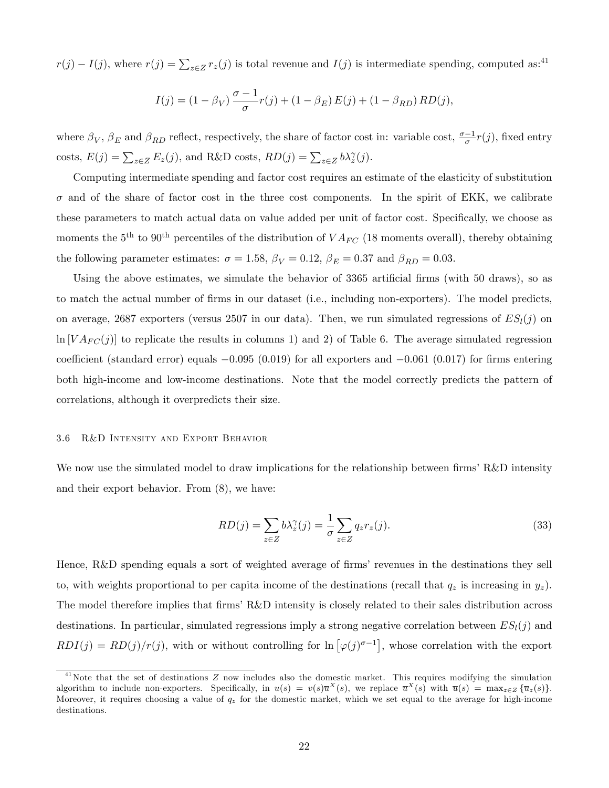$r(j) - I(j)$ , where  $r(j) = \sum_{z \in Z} r_z(j)$  is total revenue and  $I(j)$  is intermediate spending, computed as:<sup>41</sup>

$$
I(j) = (1 - \beta_V) \frac{\sigma - 1}{\sigma} r(j) + (1 - \beta_E) E(j) + (1 - \beta_{RD}) R D(j),
$$

where  $\beta_V$ ,  $\beta_E$  and  $\beta_{RD}$  reflect, respectively, the share of factor cost in: variable cost,  $\frac{\sigma-1}{\sigma}r(j)$ , fixed entry costs,  $E(j) = \sum_{z \in Z} E_z(j)$ , and R&D costs,  $RD(j) = \sum_{z \in Z} b \lambda_z^{\gamma}(j)$ .

Computing intermediate spending and factor cost requires an estimate of the elasticity of substitution  $\sigma$  and of the share of factor cost in the three cost components. In the spirit of EKK, we calibrate these parameters to match actual data on value added per unit of factor cost. Specifically, we choose as moments the  $5<sup>th</sup>$  to  $90<sup>th</sup>$  percentiles of the distribution of  $VA_{FC}$  (18 moments overall), thereby obtaining the following parameter estimates:  $\sigma = 1.58$ ,  $\beta_V = 0.12$ ,  $\beta_E = 0.37$  and  $\beta_{RD} = 0.03$ .

Using the above estimates, we simulate the behavior of  $3365$  artificial firms (with  $50$  draws), so as to match the actual number of Örms in our dataset (i.e., including non-exporters). The model predicts, on average, 2687 exporters (versus 2507 in our data). Then, we run simulated regressions of  $ES_l(j)$  on  $\ln [VA_{FC}(j)]$  to replicate the results in columns 1) and 2) of Table 6. The average simulated regression coefficient (standard error) equals  $-0.095$  (0.019) for all exporters and  $-0.061$  (0.017) for firms entering both high-income and low-income destinations. Note that the model correctly predicts the pattern of correlations, although it overpredicts their size.

## 3.6 R&D Intensity and Export Behavior

We now use the simulated model to draw implications for the relationship between firms' R&D intensity and their export behavior. From (8), we have:

$$
RD(j) = \sum_{z \in Z} b\lambda_z^{\gamma}(j) = \frac{1}{\sigma} \sum_{z \in Z} q_z r_z(j).
$$
\n(33)

Hence,  $R&D$  spending equals a sort of weighted average of firms' revenues in the destinations they sell to, with weights proportional to per capita income of the destinations (recall that  $q_z$  is increasing in  $y_z$ ). The model therefore implies that firms R&D intensity is closely related to their sales distribution across destinations. In particular, simulated regressions imply a strong negative correlation between  $ES_l(j)$  and  $RDI(j) = RD(j)/r(j)$ , with or without controlling for  $\ln [\varphi(j)^{\sigma-1}]$ , whose correlation with the export

 $41$ Note that the set of destinations Z now includes also the domestic market. This requires modifying the simulation algorithm to include non-exporters. Specifically, in  $u(s) = v(s)\overline{u}^X(s)$ , we replace  $\overline{u}^X(s)$  with  $\overline{u}(s) = \max_{z \in Z} {\overline{u}_z(s)}$ . Moreover, it requires choosing a value of  $q_z$  for the domestic market, which we set equal to the average for high-income destinations.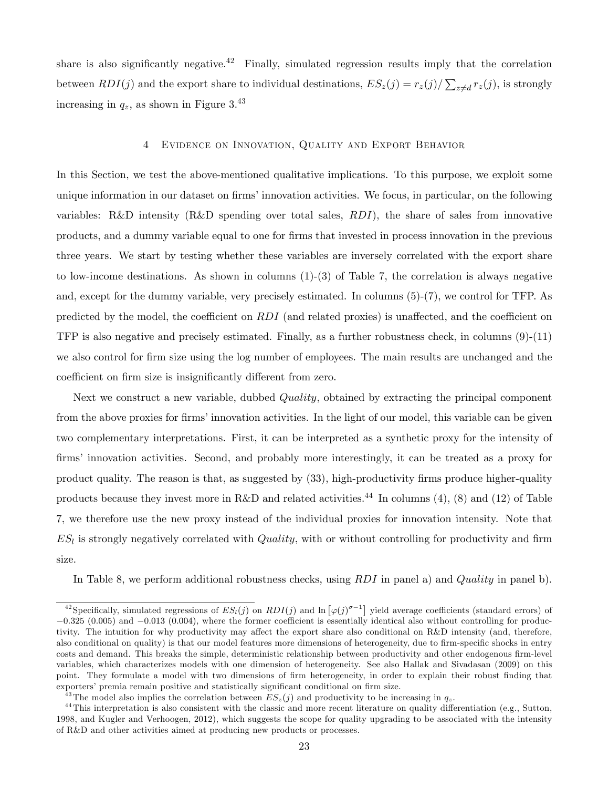share is also significantly negative.<sup>42</sup> Finally, simulated regression results imply that the correlation between  $RDI(j)$  and the export share to individual destinations,  $ES_z(j) = r_z(j)/\sum_{z \neq d} r_z(j)$ , is strongly increasing in  $q_z$ , as shown in Figure 3.<sup>43</sup>

## 4 Evidence on Innovation, Quality and Export Behavior

In this Section, we test the above-mentioned qualitative implications. To this purpose, we exploit some unique information in our dataset on firms' innovation activities. We focus, in particular, on the following variables: R&D intensity (R&D spending over total sales,  $RDI$ ), the share of sales from innovative products, and a dummy variable equal to one for Örms that invested in process innovation in the previous three years. We start by testing whether these variables are inversely correlated with the export share to low-income destinations. As shown in columns  $(1)-(3)$  of Table 7, the correlation is always negative and, except for the dummy variable, very precisely estimated. In columns (5)-(7), we control for TFP. As predicted by the model, the coefficient on  $RDI$  (and related proxies) is unaffected, and the coefficient on TFP is also negative and precisely estimated. Finally, as a further robustness check, in columns  $(9)-(11)$ we also control for firm size using the log number of employees. The main results are unchanged and the coefficient on firm size is insignificantly different from zero.

Next we construct a new variable, dubbed *Quality*, obtained by extracting the principal component from the above proxies for firms' innovation activities. In the light of our model, this variable can be given two complementary interpretations. First, it can be interpreted as a synthetic proxy for the intensity of firms' innovation activities. Second, and probably more interestingly, it can be treated as a proxy for product quality. The reason is that, as suggested by (33), high-productivity firms produce higher-quality products because they invest more in R&D and related activities.<sup>44</sup> In columns (4), (8) and (12) of Table 7, we therefore use the new proxy instead of the individual proxies for innovation intensity. Note that  $ES_l$  is strongly negatively correlated with  $Quality$ , with or without controlling for productivity and firm size.

In Table 8, we perform additional robustness checks, using  $RDI$  in panel a) and Quality in panel b).

<sup>&</sup>lt;sup>42</sup> Specifically, simulated regressions of  $ES_l(j)$  on  $RDI(j)$  and  $\ln [\varphi(j)^{\sigma-1}]$  yield average coefficients (standard errors) of  $-0.325$  (0.005) and  $-0.013$  (0.004), where the former coefficient is essentially identical also without controlling for productivity. The intuition for why productivity may affect the export share also conditional on R&D intensity (and, therefore, also conditional on quality) is that our model features more dimensions of heterogeneity, due to firm-specific shocks in entry costs and demand. This breaks the simple, deterministic relationship between productivity and other endogenous firm-level variables, which characterizes models with one dimension of heterogeneity. See also Hallak and Sivadasan (2009) on this point. They formulate a model with two dimensions of firm heterogeneity, in order to explain their robust finding that exporters' premia remain positive and statistically significant conditional on firm size.

<sup>&</sup>lt;sup>43</sup>The model also implies the correlation between  $ES_z(j)$  and productivity to be increasing in  $q_z$ .

 $44$ This interpretation is also consistent with the classic and more recent literature on quality differentiation (e.g., Sutton, 1998, and Kugler and Verhoogen, 2012), which suggests the scope for quality upgrading to be associated with the intensity of R&D and other activities aimed at producing new products or processes.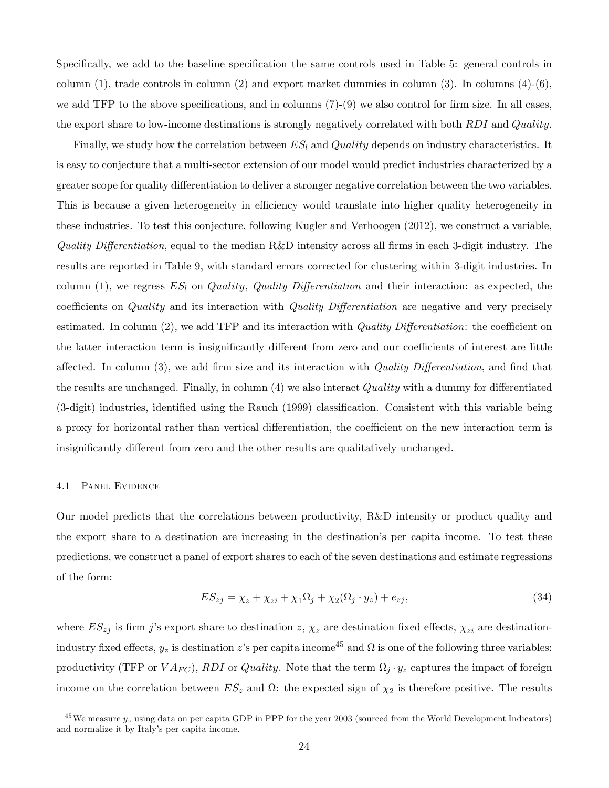Specifically, we add to the baseline specification the same controls used in Table 5: general controls in column  $(1)$ , trade controls in column  $(2)$  and export market dummies in column  $(3)$ . In columns  $(4)-(6)$ , we add TFP to the above specifications, and in columns  $(7)-(9)$  we also control for firm size. In all cases, the export share to low-income destinations is strongly negatively correlated with both RDI and Quality.

Finally, we study how the correlation between  $ES_l$  and  $Quality$  depends on industry characteristics. It is easy to conjecture that a multi-sector extension of our model would predict industries characterized by a greater scope for quality differentiation to deliver a stronger negative correlation between the two variables. This is because a given heterogeneity in efficiency would translate into higher quality heterogeneity in these industries. To test this conjecture, following Kugler and Verhoogen (2012), we construct a variable, Quality Differentiation, equal to the median R&D intensity across all firms in each 3-digit industry. The results are reported in Table 9, with standard errors corrected for clustering within 3-digit industries. In column (1), we regress  $ES_l$  on Quality, Quality Differentiation and their interaction: as expected, the coefficients on *Quality* and its interaction with *Quality Differentiation* are negative and very precisely estimated. In column  $(2)$ , we add TFP and its interaction with *Quality Differentiation*: the coefficient on the latter interaction term is insignificantly different from zero and our coefficients of interest are little affected. In column  $(3)$ , we add firm size and its interaction with *Quality Differentiation*, and find that the results are unchanged. Finally, in column  $(4)$  we also interact Quality with a dummy for differentiated (3-digit) industries, identified using the Rauch (1999) classification. Consistent with this variable being a proxy for horizontal rather than vertical differentiation, the coefficient on the new interaction term is insignificantly different from zero and the other results are qualitatively unchanged.

#### 4.1 Panel Evidence

Our model predicts that the correlations between productivity, R&D intensity or product quality and the export share to a destination are increasing in the destinationís per capita income. To test these predictions, we construct a panel of export shares to each of the seven destinations and estimate regressions of the form:

$$
ES_{zj} = \chi_z + \chi_{zi} + \chi_1 \Omega_j + \chi_2(\Omega_j \cdot y_z) + e_{zj},\tag{34}
$$

where  $ES_{zj}$  is firm j's export share to destination z,  $\chi_z$  are destination fixed effects,  $\chi_{zi}$  are destinationindustry fixed effects,  $y_z$  is destination z's per capita income<sup>45</sup> and  $\Omega$  is one of the following three variables: productivity (TFP or  $VA_{FC}$ ), RDI or Quality. Note that the term  $\Omega_j \cdot y_z$  captures the impact of foreign income on the correlation between  $ES_z$  and  $\Omega$ : the expected sign of  $\chi_2$  is therefore positive. The results

<sup>&</sup>lt;sup>45</sup>We measure  $y_z$  using data on per capita GDP in PPP for the year 2003 (sourced from the World Development Indicators) and normalize it by Italyís per capita income.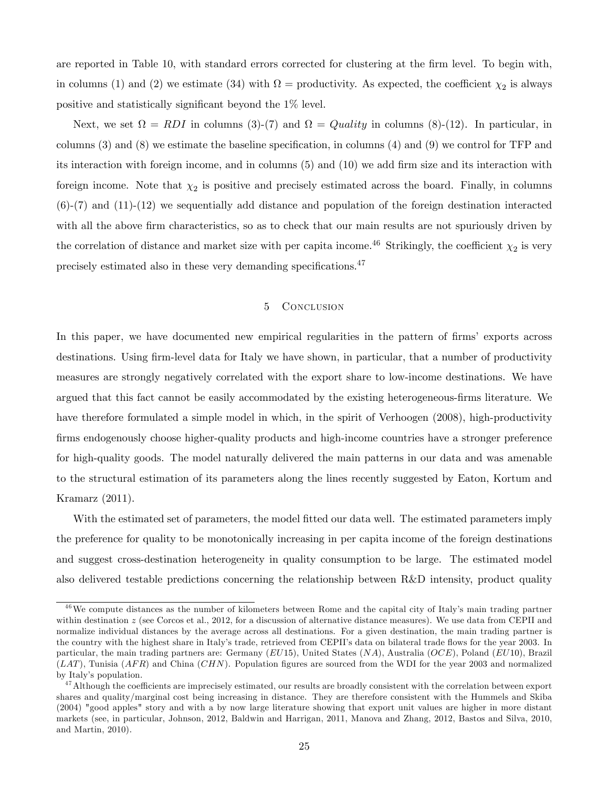are reported in Table 10, with standard errors corrected for clustering at the firm level. To begin with, in columns (1) and (2) we estimate (34) with  $\Omega =$  productivity. As expected, the coefficient  $\chi_2$  is always positive and statistically significant beyond the  $1\%$  level.

Next, we set  $\Omega = RDI$  in columns (3)-(7) and  $\Omega = Quality$  in columns (8)-(12). In particular, in columns  $(3)$  and  $(8)$  we estimate the baseline specification, in columns  $(4)$  and  $(9)$  we control for TFP and its interaction with foreign income, and in columns  $(5)$  and  $(10)$  we add firm size and its interaction with foreign income. Note that  $\chi_2$  is positive and precisely estimated across the board. Finally, in columns  $(6)-(7)$  and  $(11)-(12)$  we sequentially add distance and population of the foreign destination interacted with all the above firm characteristics, so as to check that our main results are not spuriously driven by the correlation of distance and market size with per capita income.<sup>46</sup> Strikingly, the coefficient  $\chi_2$  is very precisely estimated also in these very demanding specifications. $47$ 

## 5 CONCLUSION

In this paper, we have documented new empirical regularities in the pattern of firms' exports across destinations. Using firm-level data for Italy we have shown, in particular, that a number of productivity measures are strongly negatively correlated with the export share to low-income destinations. We have argued that this fact cannot be easily accommodated by the existing heterogeneous-firms literature. We have therefore formulated a simple model in which, in the spirit of Verhoogen (2008), high-productivity firms endogenously choose higher-quality products and high-income countries have a stronger preference for high-quality goods. The model naturally delivered the main patterns in our data and was amenable to the structural estimation of its parameters along the lines recently suggested by Eaton, Kortum and Kramarz (2011).

With the estimated set of parameters, the model fitted our data well. The estimated parameters imply the preference for quality to be monotonically increasing in per capita income of the foreign destinations and suggest cross-destination heterogeneity in quality consumption to be large. The estimated model also delivered testable predictions concerning the relationship between R&D intensity, product quality

<sup>&</sup>lt;sup>46</sup>We compute distances as the number of kilometers between Rome and the capital city of Italy's main trading partner within destination  $z$  (see Corcos et al., 2012, for a discussion of alternative distance measures). We use data from CEPII and normalize individual distances by the average across all destinations. For a given destination, the main trading partner is the country with the highest share in Italy's trade, retrieved from CEPII's data on bilateral trade flows for the year 2003. In particular, the main trading partners are: Germany (EU15), United States  $(NA)$ , Australia (OCE), Poland (EU10), Brazil  $(LAT)$ , Tunisia  $(AFR)$  and China  $(CHN)$ . Population figures are sourced from the WDI for the year 2003 and normalized by Italy's population.

 $^{47}$ Although the coefficients are imprecisely estimated, our results are broadly consistent with the correlation between export shares and quality/marginal cost being increasing in distance. They are therefore consistent with the Hummels and Skiba (2004) "good apples" story and with a by now large literature showing that export unit values are higher in more distant markets (see, in particular, Johnson, 2012, Baldwin and Harrigan, 2011, Manova and Zhang, 2012, Bastos and Silva, 2010, and Martin, 2010).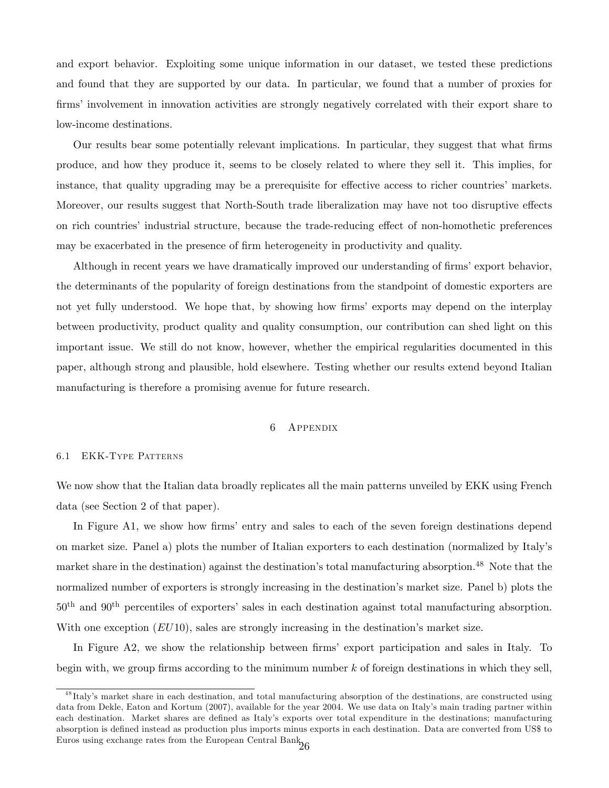and export behavior. Exploiting some unique information in our dataset, we tested these predictions and found that they are supported by our data. In particular, we found that a number of proxies for firms' involvement in innovation activities are strongly negatively correlated with their export share to low-income destinations.

Our results bear some potentially relevant implications. In particular, they suggest that what Örms produce, and how they produce it, seems to be closely related to where they sell it. This implies, for instance, that quality upgrading may be a prerequisite for effective access to richer countries' markets. Moreover, our results suggest that North-South trade liberalization may have not too disruptive effects on rich countries' industrial structure, because the trade-reducing effect of non-homothetic preferences may be exacerbated in the presence of firm heterogeneity in productivity and quality.

Although in recent years we have dramatically improved our understanding of firms' export behavior, the determinants of the popularity of foreign destinations from the standpoint of domestic exporters are not yet fully understood. We hope that, by showing how firms' exports may depend on the interplay between productivity, product quality and quality consumption, our contribution can shed light on this important issue. We still do not know, however, whether the empirical regularities documented in this paper, although strong and plausible, hold elsewhere. Testing whether our results extend beyond Italian manufacturing is therefore a promising avenue for future research.

## 6 Appendix

#### 6.1 EKK-Type Patterns

We now show that the Italian data broadly replicates all the main patterns unveiled by EKK using French data (see Section 2 of that paper).

In Figure A1, we show how firms' entry and sales to each of the seven foreign destinations depend on market size. Panel a) plots the number of Italian exporters to each destination (normalized by Italyís market share in the destination) against the destination's total manufacturing absorption.<sup>48</sup> Note that the normalized number of exporters is strongly increasing in the destination's market size. Panel b) plots the  $50<sup>th</sup>$  and  $90<sup>th</sup>$  percentiles of exporters' sales in each destination against total manufacturing absorption. With one exception  $(EU10)$ , sales are strongly increasing in the destination's market size.

In Figure A2, we show the relationship between firms' export participation and sales in Italy. To begin with, we group firms according to the minimum number  $k$  of foreign destinations in which they sell,

<sup>&</sup>lt;sup>48</sup>Italy's market share in each destination, and total manufacturing absorption of the destinations, are constructed using data from Dekle, Eaton and Kortum (2007), available for the year 2004. We use data on Italy's main trading partner within each destination. Market shares are defined as Italy's exports over total expenditure in the destinations; manufacturing absorption is defined instead as production plus imports minus exports in each destination. Data are converted from US\$ to Euros using exchange rates from the European Central Bank.<br> $\frac{26}{26}$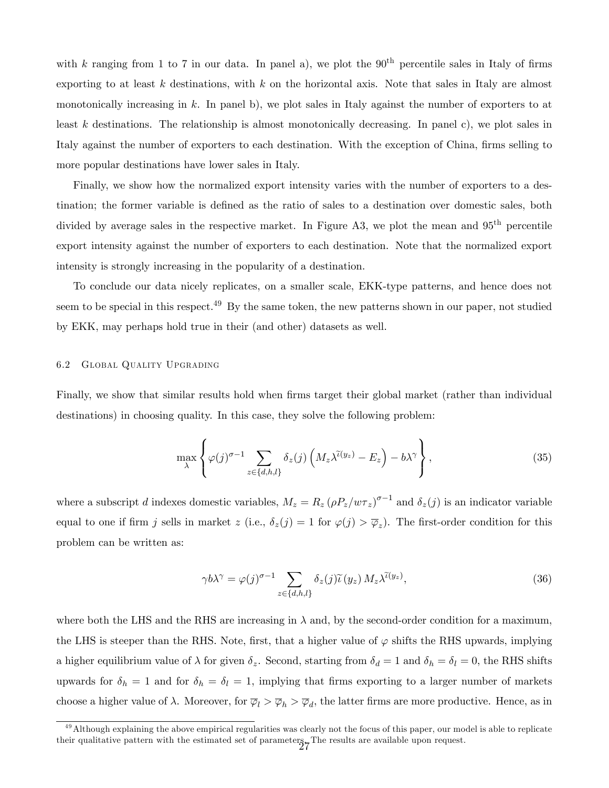with k ranging from 1 to 7 in our data. In panel a), we plot the  $90<sup>th</sup>$  percentile sales in Italy of firms exporting to at least k destinations, with k on the horizontal axis. Note that sales in Italy are almost monotonically increasing in k. In panel b), we plot sales in Italy against the number of exporters to at least k destinations. The relationship is almost monotonically decreasing. In panel c), we plot sales in Italy against the number of exporters to each destination. With the exception of China, firms selling to more popular destinations have lower sales in Italy.

Finally, we show how the normalized export intensity varies with the number of exporters to a destination; the former variable is defined as the ratio of sales to a destination over domestic sales, both divided by average sales in the respective market. In Figure A3, we plot the mean and  $95<sup>th</sup>$  percentile export intensity against the number of exporters to each destination. Note that the normalized export intensity is strongly increasing in the popularity of a destination.

To conclude our data nicely replicates, on a smaller scale, EKK-type patterns, and hence does not seem to be special in this respect.<sup>49</sup> By the same token, the new patterns shown in our paper, not studied by EKK, may perhaps hold true in their (and other) datasets as well.

#### 6.2 Global Quality Upgrading

Finally, we show that similar results hold when firms target their global market (rather than individual destinations) in choosing quality. In this case, they solve the following problem:

$$
\max_{\lambda} \left\{ \varphi(j)^{\sigma-1} \sum_{z \in \{d,h,l\}} \delta_z(j) \left( M_z \lambda^{\tilde{\iota}(y_z)} - E_z \right) - b \lambda^{\gamma} \right\},
$$
\n(35)

where a subscript d indexes domestic variables,  $M_z = R_z (\rho P_z/w \tau_z)^{\sigma-1}$  and  $\delta_z(j)$  is an indicator variable equal to one if firm j sells in market  $z$  (i.e.,  $\delta_z(j) = 1$  for  $\varphi(j) > \overline{\varphi}_z$ ). The first-order condition for this problem can be written as:

$$
\gamma b \lambda^{\gamma} = \varphi(j)^{\sigma - 1} \sum_{z \in \{d, h, l\}} \delta_z(j) \widetilde{\iota}(y_z) M_z \lambda^{\widetilde{\iota}(y_z)}, \tag{36}
$$

where both the LHS and the RHS are increasing in  $\lambda$  and, by the second-order condition for a maximum, the LHS is steeper than the RHS. Note, first, that a higher value of  $\varphi$  shifts the RHS upwards, implying a higher equilibrium value of  $\lambda$  for given  $\delta_z$ . Second, starting from  $\delta_d = 1$  and  $\delta_h = \delta_l = 0$ , the RHS shifts upwards for  $\delta_h = 1$  and for  $\delta_h = \delta_l = 1$ , implying that firms exporting to a larger number of markets choose a higher value of  $\lambda$ . Moreover, for  $\overline{\varphi}_l > \overline{\varphi}_h > \overline{\varphi}_d$ , the latter firms are more productive. Hence, as in

 $49$  Although explaining the above empirical regularities was clearly not the focus of this paper, our model is able to replicate their qualitative pattern with the estimated set of parameters. The results are available upon request.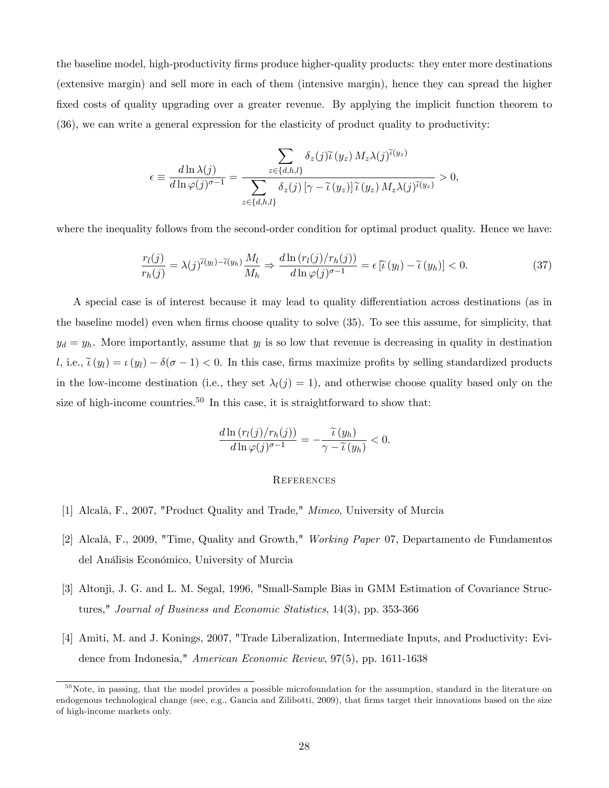the baseline model, high-productivity Örms produce higher-quality products: they enter more destinations (extensive margin) and sell more in each of them (intensive margin), hence they can spread the higher fixed costs of quality upgrading over a greater revenue. By applying the implicit function theorem to (36), we can write a general expression for the elasticity of product quality to productivity:

$$
\epsilon \equiv \frac{d\ln\lambda(j)}{d\ln\varphi(j)^{\sigma-1}} = \frac{\displaystyle\sum_{z\in\{d,h,l\}} \delta_z(j)\widetilde{\iota}(y_z)\,M_z\lambda(j)^{\widetilde{\iota}(y_z)} }{\displaystyle\sum_{z\in\{d,h,l\}} \delta_z(j)\,[\gamma-\widetilde{\iota}(y_z)]\,\widetilde{\iota}(y_z)\,M_z\lambda(j)^{\widetilde{\iota}(y_z)} } > 0,
$$

where the inequality follows from the second-order condition for optimal product quality. Hence we have:

$$
\frac{r_l(j)}{r_h(j)} = \lambda(j)^{\widetilde{\iota}(y_l) - \widetilde{\iota}(y_h)} \frac{M_l}{M_h} \Rightarrow \frac{d \ln \left( r_l(j) / r_h(j) \right)}{d \ln \varphi(j)^{\sigma - 1}} = \epsilon \left[ \widetilde{\iota}(y_l) - \widetilde{\iota}(y_h) \right] < 0. \tag{37}
$$

A special case is of interest because it may lead to quality differentiation across destinations (as in the baseline model) even when firms choose quality to solve (35). To see this assume, for simplicity, that  $y_d = y_h$ . More importantly, assume that  $y_l$  is so low that revenue is decreasing in quality in destination l, i.e.,  $\tilde{\iota}(y_l) = \iota(y_l) - \delta(\sigma - 1) < 0$ . In this case, firms maximize profits by selling standardized products in the low-income destination (i.e., they set  $\lambda_l(j) = 1$ ), and otherwise choose quality based only on the size of high-income countries.<sup>50</sup> In this case, it is straightforward to show that:

$$
\frac{d\ln(r_l(j)/r_h(j))}{d\ln\varphi(j)^{\sigma-1}} = -\frac{\widetilde{\iota}(y_h)}{\gamma - \widetilde{\iota}(y_h)} < 0.
$$

#### **REFERENCES**

- [1] Alcalà, F., 2007, "Product Quality and Trade," Mimeo, University of Murcia
- [2] Alcalà, F., 2009, "Time, Quality and Growth," Working Paper 07, Departamento de Fundamentos del Análisis Económico, University of Murcia
- [3] Altonji, J. G. and L. M. Segal, 1996, "Small-Sample Bias in GMM Estimation of Covariance Structures," Journal of Business and Economic Statistics, 14(3), pp. 353-366
- [4] Amiti, M. and J. Konings, 2007, "Trade Liberalization, Intermediate Inputs, and Productivity: Evidence from Indonesia," American Economic Review, 97(5), pp. 1611-1638

 $50$  Note, in passing, that the model provides a possible microfoundation for the assumption, standard in the literature on endogenous technological change (see, e.g., Gancia and Zilibotti, 2009), that firms target their innovations based on the size of high-income markets only.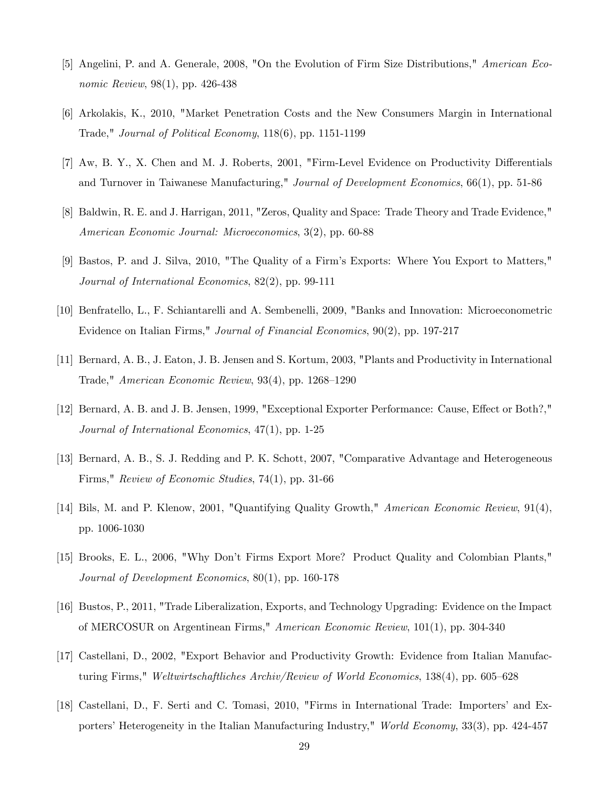- [5] Angelini, P. and A. Generale, 2008, "On the Evolution of Firm Size Distributions," American Economic Review, 98(1), pp. 426-438
- [6] Arkolakis, K., 2010, "Market Penetration Costs and the New Consumers Margin in International Trade," Journal of Political Economy, 118(6), pp. 1151-1199
- [7] Aw, B. Y., X. Chen and M. J. Roberts, 2001, "Firm-Level Evidence on Productivity Differentials and Turnover in Taiwanese Manufacturing," Journal of Development Economics, 66(1), pp. 51-86
- [8] Baldwin, R. E. and J. Harrigan, 2011, "Zeros, Quality and Space: Trade Theory and Trade Evidence," American Economic Journal: Microeconomics, 3(2), pp. 60-88
- [9] Bastos, P. and J. Silva, 2010, "The Quality of a Firmís Exports: Where You Export to Matters," Journal of International Economics, 82(2), pp. 99-111
- [10] Benfratello, L., F. Schiantarelli and A. Sembenelli, 2009, "Banks and Innovation: Microeconometric Evidence on Italian Firms," Journal of Financial Economics, 90(2), pp. 197-217
- [11] Bernard, A. B., J. Eaton, J. B. Jensen and S. Kortum, 2003, "Plants and Productivity in International Trade," American Economic Review,  $93(4)$ , pp. 1268–1290
- [12] Bernard, A. B. and J. B. Jensen, 1999, "Exceptional Exporter Performance: Cause, Effect or Both?," Journal of International Economics, 47(1), pp. 1-25
- [13] Bernard, A. B., S. J. Redding and P. K. Schott, 2007, "Comparative Advantage and Heterogeneous Firms," Review of Economic Studies, 74(1), pp. 31-66
- [14] Bils, M. and P. Klenow, 2001, "Quantifying Quality Growth," American Economic Review, 91(4), pp. 1006-1030
- [15] Brooks, E. L., 2006, "Why Donít Firms Export More? Product Quality and Colombian Plants," Journal of Development Economics, 80(1), pp. 160-178
- [16] Bustos, P., 2011, "Trade Liberalization, Exports, and Technology Upgrading: Evidence on the Impact of MERCOSUR on Argentinean Firms," American Economic Review, 101(1), pp. 304-340
- [17] Castellani, D., 2002, "Export Behavior and Productivity Growth: Evidence from Italian Manufacturing Firms," Weltwirtschaftliches Archiv/Review of World Economics,  $138(4)$ , pp. 605–628
- [18] Castellani, D., F. Serti and C. Tomasi, 2010, "Firms in International Trade: Importersí and Exporters' Heterogeneity in the Italian Manufacturing Industry," World Economy, 33(3), pp. 424-457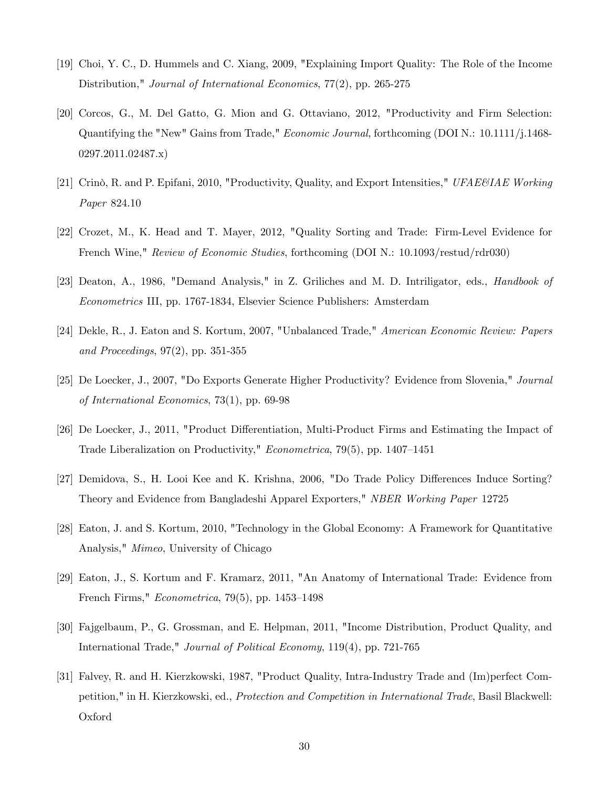- [19] Choi, Y. C., D. Hummels and C. Xiang, 2009, "Explaining Import Quality: The Role of the Income Distribution," Journal of International Economics, 77(2), pp. 265-275
- [20] Corcos, G., M. Del Gatto, G. Mion and G. Ottaviano, 2012, "Productivity and Firm Selection: Quantifying the "New" Gains from Trade," Economic Journal, forthcoming (DOI N.: 10.1111/j.1468- 0297.2011.02487.x)
- [21] Crinò, R. and P. Epifani, 2010, "Productivity, Quality, and Export Intensities," UFAE&IAE Working Paper 824.10
- [22] Crozet, M., K. Head and T. Mayer, 2012, "Quality Sorting and Trade: Firm-Level Evidence for French Wine," Review of Economic Studies, forthcoming (DOI N.: 10.1093/restud/rdr030)
- [23] Deaton, A., 1986, "Demand Analysis," in Z. Griliches and M. D. Intriligator, eds., Handbook of Econometrics III, pp. 1767-1834, Elsevier Science Publishers: Amsterdam
- [24] Dekle, R., J. Eaton and S. Kortum, 2007, "Unbalanced Trade," American Economic Review: Papers and Proceedings, 97(2), pp. 351-355
- [25] De Loecker, J., 2007, "Do Exports Generate Higher Productivity? Evidence from Slovenia," Journal of International Economics, 73(1), pp. 69-98
- [26] De Loecker, J., 2011, "Product Differentiation, Multi-Product Firms and Estimating the Impact of Trade Liberalization on Productivity," *Econometrica*,  $79(5)$ , pp.  $1407-1451$
- [27] Demidova, S., H. Looi Kee and K. Krishna, 2006, "Do Trade Policy Differences Induce Sorting? Theory and Evidence from Bangladeshi Apparel Exporters," NBER Working Paper 12725
- [28] Eaton, J. and S. Kortum, 2010, "Technology in the Global Economy: A Framework for Quantitative Analysis," Mimeo, University of Chicago
- [29] Eaton, J., S. Kortum and F. Kramarz, 2011, "An Anatomy of International Trade: Evidence from French Firms,"  $Econometrica$ , 79(5), pp. 1453–1498
- [30] Fajgelbaum, P., G. Grossman, and E. Helpman, 2011, "Income Distribution, Product Quality, and International Trade," Journal of Political Economy, 119(4), pp. 721-765
- [31] Falvey, R. and H. Kierzkowski, 1987, "Product Quality, Intra-Industry Trade and (Im)perfect Competition," in H. Kierzkowski, ed., Protection and Competition in International Trade, Basil Blackwell: Oxford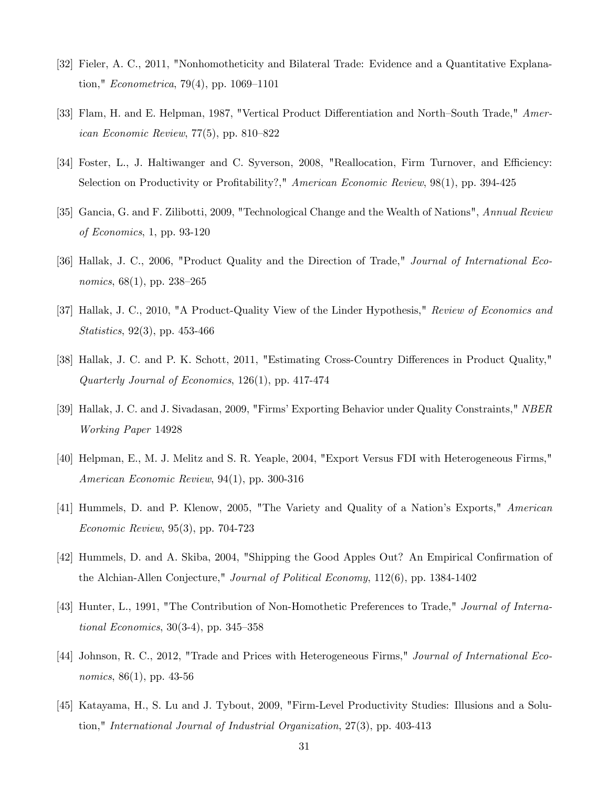- [32] Fieler, A. C., 2011, "Nonhomotheticity and Bilateral Trade: Evidence and a Quantitative Explanation," *Econometrica*, 79(4), pp. 1069–1101
- [33] Flam, H. and E. Helpman, 1987, "Vertical Product Differentiation and North–South Trade," American Economic Review,  $77(5)$ , pp.  $810-822$
- [34] Foster, L., J. Haltiwanger and C. Syverson, 2008, "Reallocation, Firm Turnover, and Efficiency: Selection on Productivity or Profitability?," American Economic Review, 98(1), pp. 394-425
- [35] Gancia, G. and F. Zilibotti, 2009, "Technological Change and the Wealth of Nations", Annual Review of Economics, 1, pp. 93-120
- [36] Hallak, J. C., 2006, "Product Quality and the Direction of Trade," Journal of International Economics,  $68(1)$ , pp. 238–265
- [37] Hallak, J. C., 2010, "A Product-Quality View of the Linder Hypothesis," Review of Economics and Statistics, 92(3), pp. 453-466
- [38] Hallak, J. C. and P. K. Schott, 2011, "Estimating Cross-Country Differences in Product Quality," Quarterly Journal of Economics, 126(1), pp. 417-474
- [39] Hallak, J. C. and J. Sivadasan, 2009, "Firms' Exporting Behavior under Quality Constraints," NBER Working Paper 14928
- [40] Helpman, E., M. J. Melitz and S. R. Yeaple, 2004, "Export Versus FDI with Heterogeneous Firms," American Economic Review, 94(1), pp. 300-316
- [41] Hummels, D. and P. Klenow, 2005, "The Variety and Quality of a Nation's Exports," American Economic Review, 95(3), pp. 704-723
- [42] Hummels, D. and A. Skiba, 2004, "Shipping the Good Apples Out? An Empirical Confirmation of the Alchian-Allen Conjecture," Journal of Political Economy, 112(6), pp. 1384-1402
- [43] Hunter, L., 1991, "The Contribution of Non-Homothetic Preferences to Trade," Journal of International Economics,  $30(3-4)$ , pp.  $345-358$
- [44] Johnson, R. C., 2012, "Trade and Prices with Heterogeneous Firms," Journal of International Eco*nomics*,  $86(1)$ , pp. 43-56
- [45] Katayama, H., S. Lu and J. Tybout, 2009, "Firm-Level Productivity Studies: Illusions and a Solution," International Journal of Industrial Organization, 27(3), pp. 403-413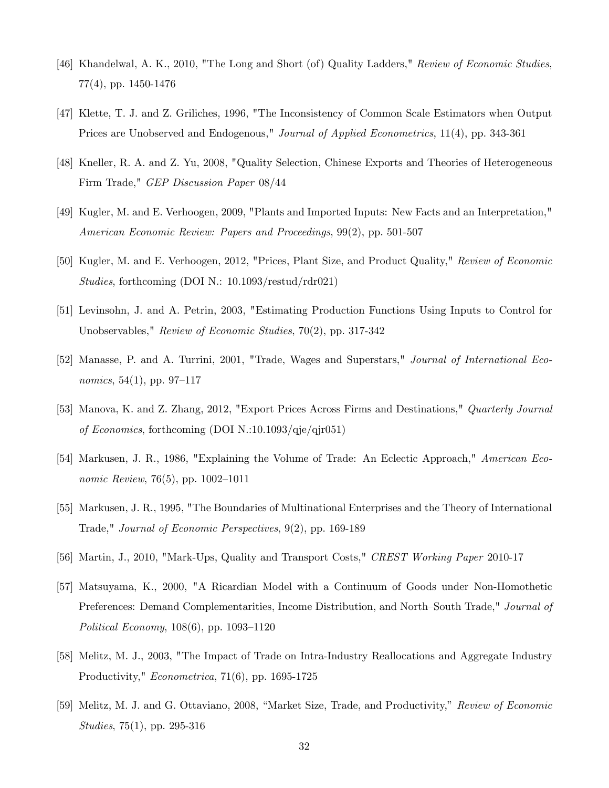- [46] Khandelwal, A. K., 2010, "The Long and Short (of) Quality Ladders," Review of Economic Studies, 77(4), pp. 1450-1476
- [47] Klette, T. J. and Z. Griliches, 1996, "The Inconsistency of Common Scale Estimators when Output Prices are Unobserved and Endogenous," *Journal of Applied Econometrics*, 11(4), pp. 343-361
- [48] Kneller, R. A. and Z. Yu, 2008, "Quality Selection, Chinese Exports and Theories of Heterogeneous Firm Trade," GEP Discussion Paper 08/44
- [49] Kugler, M. and E. Verhoogen, 2009, "Plants and Imported Inputs: New Facts and an Interpretation," American Economic Review: Papers and Proceedings, 99(2), pp. 501-507
- [50] Kugler, M. and E. Verhoogen, 2012, "Prices, Plant Size, and Product Quality," Review of Economic Studies, forthcoming (DOI N.: 10.1093/restud/rdr021)
- [51] Levinsohn, J. and A. Petrin, 2003, "Estimating Production Functions Using Inputs to Control for Unobservables," Review of Economic Studies, 70(2), pp. 317-342
- [52] Manasse, P. and A. Turrini, 2001, "Trade, Wages and Superstars," Journal of International Economics, 54(1), pp. 97–117
- [53] Manova, K. and Z. Zhang, 2012, "Export Prices Across Firms and Destinations," Quarterly Journal of Economics, forthcoming (DOI N.:10.1093/qje/qjr051)
- [54] Markusen, J. R., 1986, "Explaining the Volume of Trade: An Eclectic Approach," American Economic Review, 76(5), pp. 1002-1011
- [55] Markusen, J. R., 1995, "The Boundaries of Multinational Enterprises and the Theory of International Trade," Journal of Economic Perspectives, 9(2), pp. 169-189
- [56] Martin, J., 2010, "Mark-Ups, Quality and Transport Costs," CREST Working Paper 2010-17
- [57] Matsuyama, K., 2000, "A Ricardian Model with a Continuum of Goods under Non-Homothetic Preferences: Demand Complementarities, Income Distribution, and North-South Trade," Journal of Political Economy,  $108(6)$ , pp.  $1093-1120$
- [58] Melitz, M. J., 2003, "The Impact of Trade on Intra-Industry Reallocations and Aggregate Industry Productivity," Econometrica, 71(6), pp. 1695-1725
- [59] Melitz, M. J. and G. Ottaviano, 2008, "Market Size, Trade, and Productivity," Review of Economic Studies, 75(1), pp. 295-316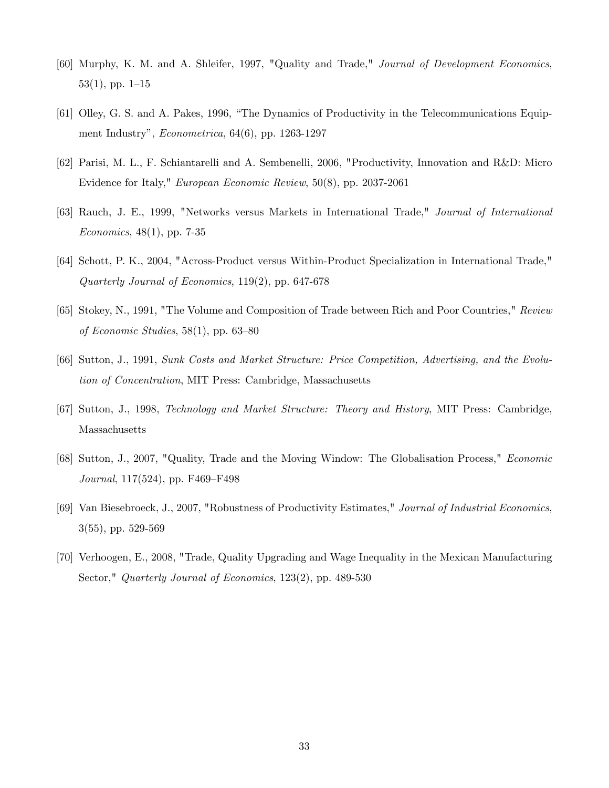- [60] Murphy, K. M. and A. Shleifer, 1997, "Quality and Trade," Journal of Development Economics,  $53(1)$ , pp.  $1-15$
- [61] Olley, G. S. and A. Pakes, 1996, "The Dynamics of Productivity in the Telecommunications Equipment Industry",  $Econometrica$ , 64(6), pp. 1263-1297
- [62] Parisi, M. L., F. Schiantarelli and A. Sembenelli, 2006, "Productivity, Innovation and R&D: Micro Evidence for Italy," European Economic Review, 50(8), pp. 2037-2061
- [63] Rauch, J. E., 1999, "Networks versus Markets in International Trade," Journal of International Economics, 48(1), pp. 7-35
- [64] Schott, P. K., 2004, "Across-Product versus Within-Product Specialization in International Trade," Quarterly Journal of Economics, 119(2), pp. 647-678
- [65] Stokey, N., 1991, "The Volume and Composition of Trade between Rich and Poor Countries," Review of Economic Studies,  $58(1)$ , pp.  $63-80$
- [66] Sutton, J., 1991, Sunk Costs and Market Structure: Price Competition, Advertising, and the Evolution of Concentration, MIT Press: Cambridge, Massachusetts
- [67] Sutton, J., 1998, Technology and Market Structure: Theory and History, MIT Press: Cambridge, Massachusetts
- [68] Sutton, J., 2007, "Quality, Trade and the Moving Window: The Globalisation Process," Economic Journal,  $117(524)$ , pp. F469–F498
- [69] Van Biesebroeck, J., 2007, "Robustness of Productivity Estimates," Journal of Industrial Economics, 3(55), pp. 529-569
- [70] Verhoogen, E., 2008, "Trade, Quality Upgrading and Wage Inequality in the Mexican Manufacturing Sector," Quarterly Journal of Economics, 123(2), pp. 489-530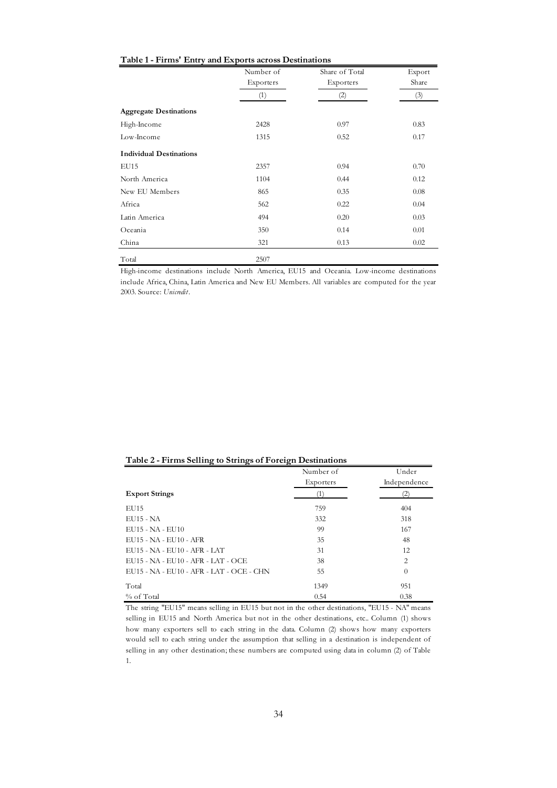| Table 1 - Firms' Entry and Exports across Destinations |
|--------------------------------------------------------|
|--------------------------------------------------------|

|                                | Number of | Share of Total | Export |
|--------------------------------|-----------|----------------|--------|
|                                | Exporters | Exporters      | Share  |
|                                | (1)       | (2)            | (3)    |
| <b>Aggregate Destinations</b>  |           |                |        |
| High-Income                    | 2428      | 0.97           | 0.83   |
| Low-Income                     | 1315      | 0.52           | 0.17   |
| <b>Individual Destinations</b> |           |                |        |
| EU15                           | 2357      | 0.94           | 0.70   |
| North America                  | 1104      | 0.44           | 0.12   |
| New EU Members                 | 865       | 0.35           | 0.08   |
| Africa                         | 562       | 0.22           | 0.04   |
| Latin America                  | 494       | 0.20           | 0.03   |
| Oceania                        | 350       | 0.14           | 0.01   |
| China                          | 321       | 0.13           | 0.02   |
| Total                          | 2507      |                |        |

High-income destinations include North America, EU15 and Oceania. Low-income destinations include Africa, China, Latin America and New EU Members. All variables are computed for the year 2003. Source: *Unicredit*.

| Table 2 - Firms Selling to Strings of Foreign Destinations |
|------------------------------------------------------------|
|------------------------------------------------------------|

|                                          | Number of | Under          |
|------------------------------------------|-----------|----------------|
|                                          | Exporters | Independence   |
| <b>Export Strings</b>                    | T         | (2)            |
| EU15                                     | 759       | 404            |
| <b>EU15 - NA</b>                         | 332       | 318            |
| EU15 - NA - EU10                         | 99        | 167            |
| EU15 - NA - EU10 - AFR                   | 35        | 48             |
| EU15 - NA - EU10 - AFR - LAT             | 31        | 12             |
| EU15 - NA - EU10 - AFR - LAT - OCE       | 38        | $\overline{2}$ |
| EU15 - NA - EU10 - AFR - LAT - OCE - CHN | 55        | $\Omega$       |
| Total                                    | 1349      | 951            |
| % of Total                               | 0.54      | 0.38           |

The string "EU15" means selling in EU15 but not in the other destinations, "EU15 - NA" means selling in EU15 and North America but not in the other destinations, etc.. Column (1) shows how many exporters sell to each string in the data. Column (2) shows how many exporters would sell to each string under the assumption that selling in a destination is independent of selling in any other destination; these numbers are computed using data in column (2) of Table 1.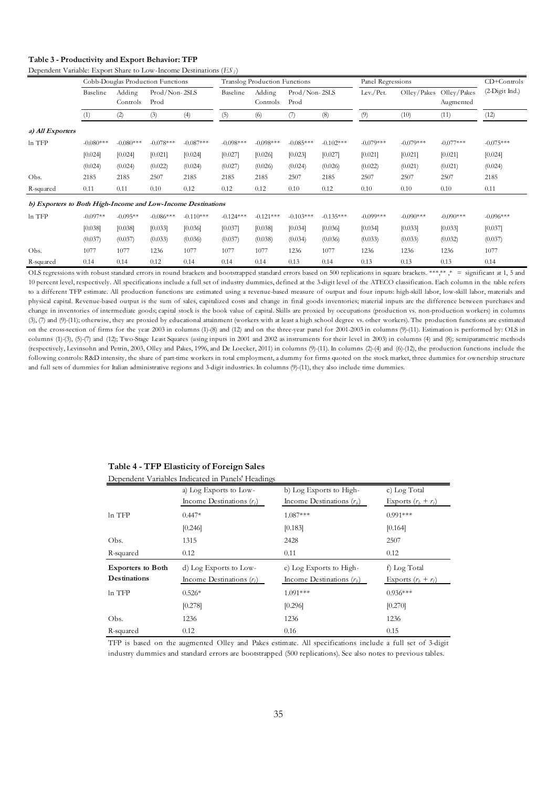## **Table 3 - Productivity and Export Behavior: TFP**

Dependent Variable: Export Share to Low-Income Destinations (*ES <sup>l</sup>* )

|                                                              |             | Cobb-Douglas Production Functions |                       |             |             | Translog Production Functions |                       |             | Panel Regressions | CD+Controls |                          |                |
|--------------------------------------------------------------|-------------|-----------------------------------|-----------------------|-------------|-------------|-------------------------------|-----------------------|-------------|-------------------|-------------|--------------------------|----------------|
|                                                              | Baseline    | Adding<br>Controls                | Prod/Non-2SLS<br>Prod |             | Baseline    | Adding<br>Controls            | Prod/Non-2SLS<br>Prod |             | Lev./Pet.         | Olley/Pakes | Olley/Pakes<br>Augmented | (2-Digit Ind.) |
|                                                              | (1)         | (2)                               | (3)                   | (4)         | (5)         | (6)                           | (7)                   | (8)         | (9)               | (10)        | (11)                     | (12)           |
| a) All Exporters                                             |             |                                   |                       |             |             |                               |                       |             |                   |             |                          |                |
| In TFP                                                       | $-0.080***$ | $-0.080***$                       | $-0.078***$           | $-0.087***$ | $-0.098***$ | $-0.098***$                   | $-0.085***$           | $-0.102***$ | $-0.079***$       | $-0.079***$ | $-0.077***$              | $-0.075***$    |
|                                                              | [0.024]     | [0.024]                           | [0.021]               | [0.024]     | [0.027]     | [0.026]                       | [0.023]               | [0.027]     | [0.021]           | [0.021]     | [0.021]                  | [0.024]        |
|                                                              | (0.024)     | (0.024)                           | (0.022)               | (0.024)     | (0.027)     | (0.026)                       | (0.024)               | (0.026)     | (0.022)           | (0.021)     | (0.021)                  | (0.024)        |
| Obs.                                                         | 2185        | 2185                              | 2507                  | 2185        | 2185        | 2185                          | 2507                  | 2185        | 2507              | 2507        | 2507                     | 2185           |
| R-squared                                                    | 0.11        | 0.11                              | 0.10                  | 0.12        | 0.12        | 0.12                          | 0.10                  | 0.12        | 0.10              | 0.10        | 0.10                     | 0.11           |
| b) Exporters to Both High-Income and Low-Income Destinations |             |                                   |                       |             |             |                               |                       |             |                   |             |                          |                |
| In TFP                                                       | $-0.097**$  | $-0.095**$                        | $-0.086***$           | $-0.110***$ | $-0.124***$ | $-0.121***$                   | $-0.103***$           | $-0.135***$ | $-0.099***$       | $-0.090***$ | $-0.090***$              | $-0.096***$    |
|                                                              | [0.038]     | [0.038]                           | [0.033]               | [0.036]     | [0.037]     | [0.038]                       | [0.034]               | [0.036]     | [0.034]           | [0.033]     | [0.033]                  | [0.037]        |
|                                                              | (0.037)     | (0.037)                           | (0.033)               | (0.036)     | (0.037)     | (0.038)                       | (0.034)               | (0.036)     | (0.033)           | (0.033)     | (0.032)                  | (0.037)        |
| Obs.                                                         | 1077        | 1077                              | 1236                  | 1077        | 1077        | 1077                          | 1236                  | 1077        | 1236              | 1236        | 1236                     | 1077           |
| R-squared                                                    | 0.14        | 0.14                              | 0.12                  | 0.14        | 0.14        | 0.14                          | 0.13                  | 0.14        | 0.13              | 0.13        | 0.13                     | 0.14           |

OLS regressions with robust standard errors in round brackets and bootstrapped standard errors based on 500 replications in square brackets. \*\*\*,\*\* ,\* = significant at 1, 5 and 10 percent level, respectively. All specifications include a full set of industry dummies, defined at the 3-digit level of the ATECO classification. Each column in the table refers to a different TFP estimate. All production functions are estimated using a revenue-based measure of output and four inputs: high-skill labor, low-skill labor, materials and physical capital. Revenue-based output is the sum of sales, capitalized costs and change in final goods inventories; material inputs are the difference between purchases and change in inventories of intermediate goods; capital stock is the book value of capital. Skills are proxied by occupations (production vs. non-production workers) in columns (3), (7) and (9)-(11); otherwise, they are proxied by educational attainment (workers with at least a high school degree vs. other workers). The production functions are estimated on the cross-section of firms for the year 2003 in columns (1)-(8) and (12) and on the three-year panel for 2001-2003 in columns (9)-(11). Estimation is performed by: OLS in columns (1)-(3), (5)-(7) and (12); Two-Stage Least Squares (using inputs in 2001 and 2002 as instruments for their level in 2003) in columns (4) and (8); semiparametric methods (respectively, Levinsohn and Petrin, 2003, Olley and Pakes, 1996, and De Loecker, 2011) in columns (9)-(11). In columns (2)-(4) and (6)-(12), the production functions include the following controls: R&D intensity, the share of part-time workers in total employment, a dummy for firms quoted on the stock market, three dummies for ownership structure and full sets of dummies for Italian administrative regions and 3-digit industries. In columns (9)-(11), they also include time dummies.

| Table 4 - TFP Elasticity of Foreign Sales      |  |
|------------------------------------------------|--|
| Dependent Variables Indicated in Depald Headin |  |

|                          | Dependent Variables Indicated in Panels' Headings |                             |                       |
|--------------------------|---------------------------------------------------|-----------------------------|-----------------------|
|                          | a) Log Exports to Low-                            | b) Log Exports to High-     | c) Log Total          |
|                          | Income Destinations $(r_l)$                       | Income Destinations $(r_h)$ | Exports $(r_b + r_l)$ |
| $ln$ TFP                 | $0.447*$                                          | 1.087***                    | $0.991***$            |
|                          | [0.246]                                           | [0.183]                     | [0.164]               |
| Obs.                     | 1315                                              | 2428                        | 2507                  |
| R-squared                | 0.12                                              | 0.11                        | 0.12                  |
|                          |                                                   |                             |                       |
| <b>Exporters to Both</b> | d) Log Exports to Low-                            | e) Log Exports to High-     | f) Log Total          |
| Destinations             | Income Destinations $(r_l)$                       | Income Destinations $(r_h)$ | Exports $(r_b + r_l)$ |
| ln TFP                   | $0.526*$                                          | $1.091***$                  | $0.936***$            |
|                          | [0.278]                                           | [0.296]                     | [0.270]               |
| Obs.                     | 1236                                              | 1236                        | 1236                  |

TFP is based on the augmented Olley and Pakes estimate. All specifications include a full set of 3-digit industry dummies and standard errors are bootstrapped (500 replications). See also notes to previous tables.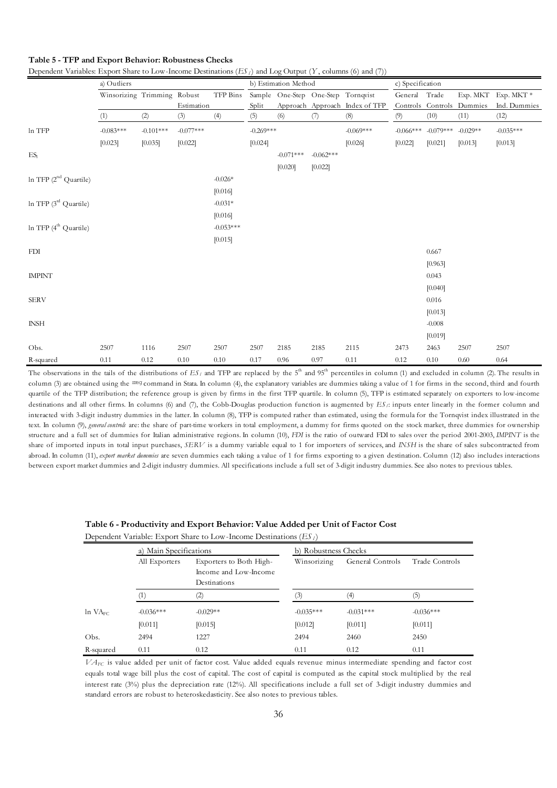|                                   | a) Outliers                 |             |             |             |             | b) Estimation Method |                                    |                                | c) Specification |             |                           |                     |  |
|-----------------------------------|-----------------------------|-------------|-------------|-------------|-------------|----------------------|------------------------------------|--------------------------------|------------------|-------------|---------------------------|---------------------|--|
|                                   | Winsorizing Trimming Robust |             |             | TFP Bins    |             |                      | Sample One-Step One-Step Tornqvist |                                | General Trade    |             |                           | Exp. MKT Exp. MKT * |  |
|                                   |                             |             | Estimation  |             | Split       |                      |                                    | Approach Approach Index of TFP |                  |             | Controls Controls Dummies | Ind. Dummies        |  |
|                                   | (1)                         | (2)         | (3)         | (4)         | (5)         | (6)                  | (7)                                | (8)                            | (9)              | (10)        | (11)                      | (12)                |  |
| ln TFP                            | $-0.083***$                 | $-0.101***$ | $-0.077***$ |             | $-0.269***$ |                      |                                    | $-0.069***$                    | $-0.066***$      | $-0.079***$ | $-0.029**$                | $-0.035***$         |  |
|                                   | [0.023]                     | [0.035]     | [0.022]     |             | [0.024]     |                      |                                    | [0.026]                        | [0.022]          | [0.021]     | [0.013]                   | [0.013]             |  |
| ES <sub>1</sub>                   |                             |             |             |             |             | $-0.071***$          | $-0.062***$                        |                                |                  |             |                           |                     |  |
|                                   |                             |             |             |             |             | [0.020]              | [0.022]                            |                                |                  |             |                           |                     |  |
| In TFP (2 <sup>nd</sup> Quartile) |                             |             |             | $-0.026*$   |             |                      |                                    |                                |                  |             |                           |                     |  |
|                                   |                             |             |             | [0.016]     |             |                      |                                    |                                |                  |             |                           |                     |  |
| ln TFP (3 <sup>rd</sup> Quartile) |                             |             |             | $-0.031*$   |             |                      |                                    |                                |                  |             |                           |                     |  |
|                                   |                             |             |             | [0.016]     |             |                      |                                    |                                |                  |             |                           |                     |  |
| ln TFP (4 <sup>th</sup> Quartile) |                             |             |             | $-0.053***$ |             |                      |                                    |                                |                  |             |                           |                     |  |
|                                   |                             |             |             | [0.015]     |             |                      |                                    |                                |                  |             |                           |                     |  |
| <b>FDI</b>                        |                             |             |             |             |             |                      |                                    |                                |                  | 0.667       |                           |                     |  |
|                                   |                             |             |             |             |             |                      |                                    |                                |                  | [0.963]     |                           |                     |  |
| <b>IMPINT</b>                     |                             |             |             |             |             |                      |                                    |                                |                  | 0.043       |                           |                     |  |
|                                   |                             |             |             |             |             |                      |                                    |                                |                  | [0.040]     |                           |                     |  |
| <b>SERV</b>                       |                             |             |             |             |             |                      |                                    |                                |                  | 0.016       |                           |                     |  |
|                                   |                             |             |             |             |             |                      |                                    |                                |                  | [0.013]     |                           |                     |  |
| <b>INSH</b>                       |                             |             |             |             |             |                      |                                    |                                |                  | $-0.008$    |                           |                     |  |
|                                   |                             |             |             |             |             |                      |                                    |                                |                  | [0.019]     |                           |                     |  |
| Obs.                              | 2507                        | 1116        | 2507        | 2507        | 2507        | 2185                 | 2185                               | 2115                           | 2473             | 2463        | 2507                      | 2507                |  |
| R-squared                         | 0.11                        | 0.12        | 0.10        | 0.10        | 0.17        | 0.96                 | 0.97                               | 0.11                           | 0.12             | 0.10        | 0.60                      | 0.64                |  |

**Table 5 - TFP and Export Behavior: Robustness Checks**

Dependent Variables: Export Share to Low-Income Destinations  $(ES<sub>i</sub>)$  and Log Output  $(Y,$  columns (6) and (7))

The observations in the tails of the distributions of  $ES<sub>l</sub>$  and TFP are replaced by the  $5<sup>th</sup>$  and  $95<sup>th</sup>$  percentiles in column (1) and excluded in column (2). The results in column (3) are obtained using the rreg command in Stata. In column (4), the explanatory variables are dummies taking a value of 1 for firms in the second, third and fourth quartile of the TFP distribution; the reference group is given by firms in the first TFP quartile. In column (5), TFP is estimated separately on exporters to low-income destinations and all other firms. In columns (6) and (7), the Cobb-Douglas production function is augmented by *ES <sup>l</sup>* : inputs enter linearly in the former column and interacted with 3-digit industry dummies in the latter. In column (8), TFP is computed rather than estimated, using the formula for the Tornqvist index illustrated in the text. In column (9), *general controls* are: the share of part-time workers in total employment, a dummy for firms quoted on the stock market, three dummies for ownership structure and a full set of dummies for Italian administrative regions. In column (10), *FDI* is the ratio of outward FDI to sales over the period 2001-2003, *IMPINT* is the share of imported inputs in total input purchases, *SERV* is a dummy variable equal to 1 for importers of services, and *INSH* is the share of sales subcontracted from abroad. In column (11), *export market dummies* are seven dummies each taking a value of 1 for firms exporting to a given destination. Column (12) also includes interactions between export market dummies and 2-digit industry dummies. All specifications include a full set of 3-digit industry dummies. See also notes to previous tables.

|                       | a) Main Specifications |                                                                  | b) Robustness Checks |                   |                |  |  |  |  |  |
|-----------------------|------------------------|------------------------------------------------------------------|----------------------|-------------------|----------------|--|--|--|--|--|
|                       | All Exporters          | Exporters to Both High-<br>Income and Low-Income<br>Destinations |                      | General Controls  | Trade Controls |  |  |  |  |  |
|                       |                        | $\left( 2\right)$                                                | (3)                  | $\left( 4\right)$ | (5)            |  |  |  |  |  |
| $ln$ VA <sub>FC</sub> | $-0.036***$            | $-0.029**$                                                       | $-0.035***$          | $-0.031***$       | $-0.036***$    |  |  |  |  |  |
|                       | [0.011]                | [0.015]                                                          | [0.012]              | [0.011]           | [0.011]        |  |  |  |  |  |
| Obs.                  | 2494                   | 1227                                                             | 2494                 | 2460              | 2450           |  |  |  |  |  |
| R-squared             | 0.11                   | 0.12                                                             | 0.11                 | 0.12              | 0.11           |  |  |  |  |  |

| Table 6 - Productivity and Export Behavior: Value Added per Unit of Factor Cost |
|---------------------------------------------------------------------------------|
| Dependent Variable: Export Share to Low-Income Destinations $(ESl)$             |

*VAFC* is value added per unit of factor cost. Value added equals revenue minus intermediate spending and factor cost equals total wage bill plus the cost of capital. The cost of capital is computed as the capital stock multiplied by the real interest rate (3%) plus the depreciation rate (12%). All specifications include a full set of 3-digit industry dummies and standard errors are robust to heteroskedasticity. See also notes to previous tables.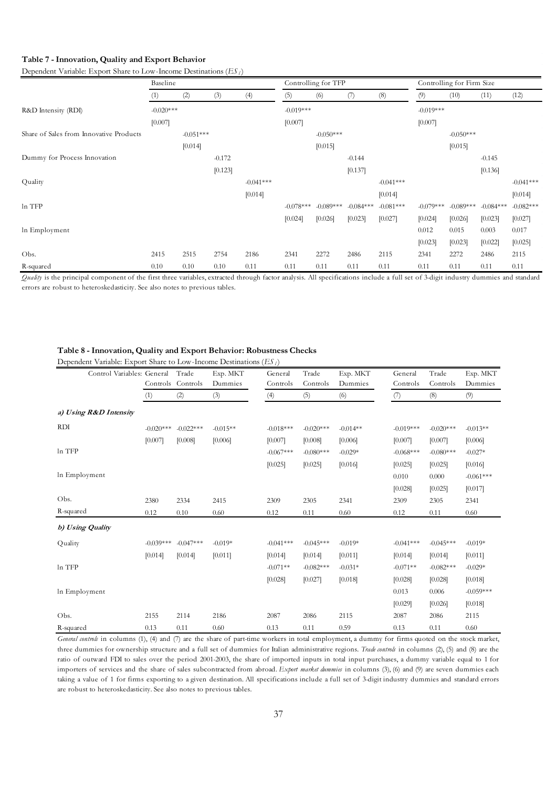### **Table 7 - Innovation, Quality and Export Behavior**

Dependent Variable: Export Share to Low-Income Destinations (*ES <sup>l</sup>* )

|                                         | Baseline    |             |          |             | Controlling for TFP |             |             |             | Controlling for Firm Size |             |             |             |
|-----------------------------------------|-------------|-------------|----------|-------------|---------------------|-------------|-------------|-------------|---------------------------|-------------|-------------|-------------|
|                                         | (1)         | (2)         | (3)      | (4)         | (5)                 | (6)         | (7)         | (8)         | (9)                       | (10)        | (11)        | (12)        |
| R&D Intensity (RDI)                     | $-0.020***$ |             |          |             | $-0.019***$         |             |             |             | $-0.019***$               |             |             |             |
|                                         | [0.007]     |             |          |             | [0.007]             |             |             |             | [0.007]                   |             |             |             |
| Share of Sales from Innovative Products |             | $-0.051***$ |          |             |                     | $-0.050***$ |             |             |                           | $-0.050***$ |             |             |
|                                         |             | [0.014]     |          |             |                     | [0.015]     |             |             |                           | [0.015]     |             |             |
| Dummy for Process Innovation            |             |             | $-0.172$ |             |                     |             | $-0.144$    |             |                           |             | $-0.145$    |             |
|                                         |             |             | [0.123]  |             |                     |             | [0.137]     |             |                           |             | [0.136]     |             |
| Quality                                 |             |             |          | $-0.041***$ |                     |             |             | $-0.041***$ |                           |             |             | $-0.041***$ |
|                                         |             |             |          | [0.014]     |                     |             |             | [0.014]     |                           |             |             | [0.014]     |
| ln TFP                                  |             |             |          |             | $-0.078***$         | $-0.089***$ | $-0.084***$ | $-0.081***$ | $-0.079***$               | $-0.089***$ | $-0.084***$ | $-0.082***$ |
|                                         |             |             |          |             | [0.024]             | [0.026]     | [0.023]     | [0.027]     | [0.024]                   | [0.026]     | [0.023]     | [0.027]     |
| In Employment                           |             |             |          |             |                     |             |             |             | 0.012                     | 0.015       | 0.003       | 0.017       |
|                                         |             |             |          |             |                     |             |             |             | [0.023]                   | [0.023]     | [0.022]     | [0.025]     |
| Obs.                                    | 2415        | 2515        | 2754     | 2186        | 2341                | 2272        | 2486        | 2115        | 2341                      | 2272        | 2486        | 2115        |
| R-squared                               | 0.10        | 0.10        | 0.10     | 0.11        | 0.11                | 0.11        | 0.11        | 0.11        | 0.11                      | 0.11        | 0.11        | 0.11        |

*Quality* is the principal component of the first three variables, extracted through factor analysis. All specifications include a full set of 3-digit industry dummies and standard errors are robust to heteroskedasticity. See also notes to previous tables.

## **Table 8 - Innovation, Quality and Export Behavior: Robustness Checks**

| Control Variables: General |             | Trade             | Exp. MKT   | General     | Trade       | Exp. MKT   | General     | Trade       | Exp. MKT    |
|----------------------------|-------------|-------------------|------------|-------------|-------------|------------|-------------|-------------|-------------|
|                            |             | Controls Controls | Dummies    | Controls    | Controls    | Dummies    | Controls    | Controls    | Dummies     |
|                            | (1)         | (2)               | (3)        | (4)         | (5)         | (6)        | (7)         | (8)         | (9)         |
| a) Using R&D Intensity     |             |                   |            |             |             |            |             |             |             |
| <b>RDI</b>                 | $-0.020***$ | $-0.022***$       | $-0.015**$ | $-0.018***$ | $-0.020***$ | $-0.014**$ | $-0.019***$ | $-0.020***$ | $-0.013**$  |
|                            | [0.007]     | [0.008]           | [0.006]    | [0.007]     | [0.008]     | [0.006]    | [0.007]     | [0.007]     | [0.006]     |
| In TFP                     |             |                   |            | $-0.067***$ | $-0.080***$ | $-0.029*$  | $-0.068***$ | $-0.080***$ | $-0.027*$   |
|                            |             |                   |            | [0.025]     | [0.025]     | [0.016]    | [0.025]     | [0.025]     | [0.016]     |
| In Employment              |             |                   |            |             |             |            | 0.010       | 0.000       | $-0.061***$ |
|                            |             |                   |            |             |             |            | [0.028]     | [0.025]     | [0.017]     |
| Obs.                       | 2380        | 2334              | 2415       | 2309        | 2305        | 2341       | 2309        | 2305        | 2341        |
| R-squared                  | 0.12        | 0.10              | 0.60       | 0.12        | 0.11        | 0.60       | 0.12        | 0.11        | 0.60        |
| b) Using Quality           |             |                   |            |             |             |            |             |             |             |
| Quality                    | $-0.039***$ | $-0.047***$       | $-0.019*$  | $-0.041***$ | $-0.045***$ | $-0.019*$  | $-0.041***$ | $-0.045***$ | $-0.019*$   |
|                            | [0.014]     | [0.014]           | [0.011]    | [0.014]     | [0.014]     | [0.011]    | [0.014]     | [0.014]     | [0.011]     |
| In TFP                     |             |                   |            | $-0.071**$  | $-0.082***$ | $-0.031*$  | $-0.071**$  | $-0.082***$ | $-0.029*$   |
|                            |             |                   |            | [0.028]     | [0.027]     | [0.018]    | [0.028]     | [0.028]     | [0.018]     |
| In Employment              |             |                   |            |             |             |            | 0.013       | 0.006       | $-0.059***$ |
|                            |             |                   |            |             |             |            | [0.029]     | [0.026]     | [0.018]     |
| Obs.                       | 2155        | 2114              | 2186       | 2087        | 2086        | 2115       | 2087        | 2086        | 2115        |
| R-squared                  | 0.13        | 0.11              | 0.60       | 0.13        | 0.11        | 0.59       | 0.13        | 0.11        | 0.60        |

Dependent Variable: Export Share to Low-Income Destinations (*ES <sup>l</sup>* )

*General controls* in columns (1), (4) and (7) are the share of part-time workers in total employment, a dummy for firms quoted on the stock market, three dummies for ownership structure and a full set of dummies for Italian administrative regions. *Trade controls* in columns (2), (5) and (8) are the ratio of outward FDI to sales over the period 2001-2003, the share of imported inputs in total input purchases, a dummy variable equal to 1 for importers of services and the share of sales subcontracted from abroad. *Export market dummies* in columns (3), (6) and (9) are seven dummies each taking a value of 1 for firms exporting to a given destination. All specifications include a full set of 3-digit industry dummies and standard errors are robust to heteroskedasticity. See also notes to previous tables.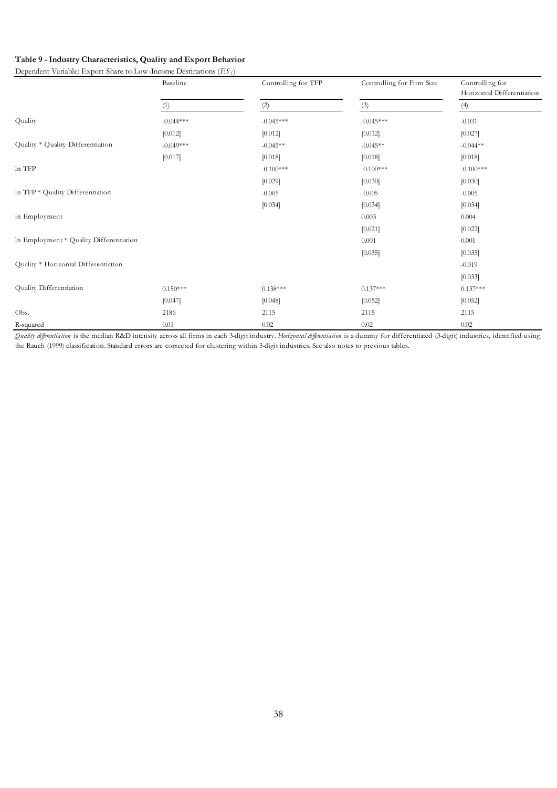# **Table 9 - Industry Characteristics, Quality and Export Behavior**

Dependent Variable: Export Share to Low-Income Destinations (*ES <sup>l</sup>* )

|                                         | Baseline    | Controlling for TFP | Controlling for Firm Size | Controlling for<br>Horizontal Differentiation |  |  |
|-----------------------------------------|-------------|---------------------|---------------------------|-----------------------------------------------|--|--|
|                                         | (1)         | (2)                 | (3)                       | (4)                                           |  |  |
| Quality                                 | $-0.044***$ | $-0.045***$         | $-0.045***$               | $-0.031$                                      |  |  |
|                                         | [0.012]     | [0.012]             | [0.012]                   | [0.027]                                       |  |  |
| Quality * Quality Differentiation       | $-0.049***$ | $-0.045**$          | $-0.045**$                | $-0.044**$                                    |  |  |
|                                         | [0.017]     | [0.018]             | [0.018]                   | [0.018]                                       |  |  |
| ln TFP                                  |             | $-0.100***$         | $-0.100***$               | $-0.100***$                                   |  |  |
|                                         |             | [0.029]             | [0.030]                   | [0.030]                                       |  |  |
| In TFP * Quality Differentiation        |             | $-0.005$            | $-0.005$                  | $-0.005$                                      |  |  |
|                                         |             | [0.034]             | [0.034]                   | [0.034]                                       |  |  |
| In Employment                           |             |                     | 0.003                     | 0.004                                         |  |  |
|                                         |             |                     | [0.021]                   | [0.022]                                       |  |  |
| In Employment * Quality Differentiation |             |                     | 0.001                     | 0.001                                         |  |  |
|                                         |             |                     | [0.035]                   | [0.035]                                       |  |  |
| Quality * Horizontal Differentiation    |             |                     |                           | $-0.019$                                      |  |  |
|                                         |             |                     |                           | [0.033]                                       |  |  |
| Quality Differentiation                 | $0.150***$  | $0.138***$          | $0.137***$                | $0.137***$                                    |  |  |
|                                         | [0.047]     | [0.048]             | [0.052]                   | [0.052]                                       |  |  |
| Obs.                                    | 2186        | 2115                | 2115                      | 2115                                          |  |  |
| R-squared                               | 0.01        | 0.02                | 0.02                      | 0.02                                          |  |  |

*Quality differentiation* is the median R&D intensity across all firms in each 3-digit industry. *Horizontal differentiation* is a dummy for differentiated (3-digit) industries, identified using the Rauch (1999) classification. Standard errors are corrected for clustering within 3-digit industries. See also notes to previous tables.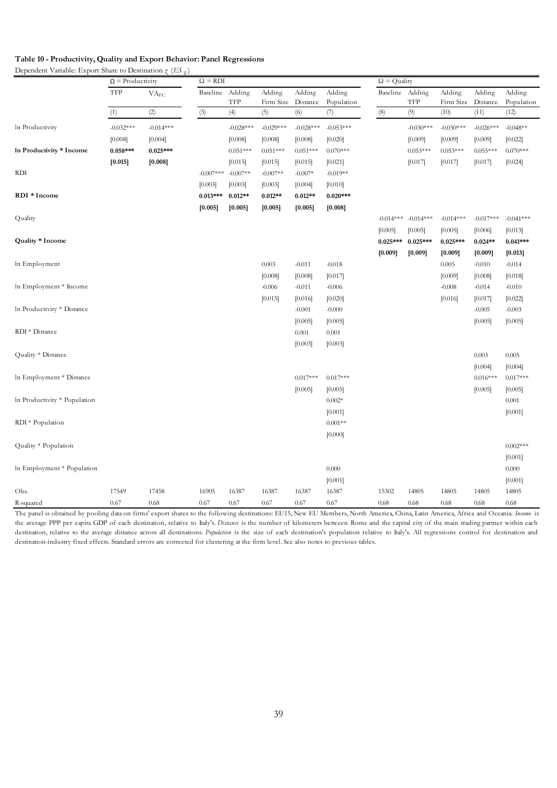# **Table 10 - Productivity, Quality and Export Behavior: Panel Regressions**

|                              | $\Omega$ = Productivity |                                      | $\Omega = RDI$ |             |             |             |             |                 | $\Omega$ = Quality      |             |             |             |  |  |
|------------------------------|-------------------------|--------------------------------------|----------------|-------------|-------------|-------------|-------------|-----------------|-------------------------|-------------|-------------|-------------|--|--|
|                              | TFP                     | $\ensuremath{\text{VA}_{\text{FC}}}$ | Baseline       | Adding      | Adding      | Adding      | Adding      | Baseline Adding |                         | Adding      | Adding      | Adding      |  |  |
|                              |                         |                                      |                | TFP         | Firm Size   | Distance    | Population  |                 | <b>TFP</b>              | Firm Size   | Distance    | Population  |  |  |
|                              | (1)                     | $(2)$                                | (3)            | (4)         | (5)         | (6)         | (7)         | (8)             | (9)                     | (10)        | (11)        | (12)        |  |  |
| In Productivity              | $-0.032***$             | $-0.014***$                          |                | $-0.028***$ | $-0.029***$ | $-0.028***$ | $-0.053***$ |                 | $-0.030***$             | $-0.030***$ | $-0.026***$ | $-0.048**$  |  |  |
|                              | [0.008]                 | [0.004]                              |                | [0.008]     | [0.008]     | [0.008]     | [0.020]     |                 | [0.009]                 | [0.009]     | [0.009]     | [0.022]     |  |  |
| In Productivity * Income     | $0.058***$              | $0.025***$                           |                | $0.051***$  | $0.051***$  | $0.051***$  | $0.070***$  |                 | $0.053***$              | $0.053***$  | $0.055***$  | $0.070***$  |  |  |
|                              | [0.015]                 | [0.008]                              |                | [0.015]     | [0.015]     | [0.015]     | [0.021]     |                 | [0.017]                 | [0.017]     | [0.017]     | [0.024]     |  |  |
| <b>RDI</b>                   |                         |                                      | $-0.007***$    | $-0.007**$  | $-0.007**$  | $-0.007*$   | $-0.019**$  |                 |                         |             |             |             |  |  |
|                              |                         |                                      | [0.003]        | [0.003]     | [0.003]     | [0.004]     | [0.010]     |                 |                         |             |             |             |  |  |
| RDI * Income                 |                         |                                      | $0.013***$     | $0.012**$   | $0.012**$   | $0.012**$   | $0.020***$  |                 |                         |             |             |             |  |  |
|                              |                         |                                      | [0.005]        | [0.005]     | [0.005]     | [0.005]     | [0.008]     |                 |                         |             |             |             |  |  |
| Quality                      |                         |                                      |                |             |             |             |             |                 | $-0.014***$ $-0.014***$ | $-0.014***$ | $-0.017***$ | $-0.041***$ |  |  |
|                              |                         |                                      |                |             |             |             |             | [0.005]         | [0.005]                 | [0.005]     | [0.006]     | [0.013]     |  |  |
| Quality * Income             |                         |                                      |                |             |             |             |             | $0.025***$      | $0.025***$              | $0.025***$  | $0.024**$   | $0.041***$  |  |  |
|                              |                         |                                      |                |             |             |             |             | [0.009]         | [0.009]                 | [0.009]     | [0.009]     | [0.013]     |  |  |
| In Employment                |                         |                                      |                |             | 0.003       | $-0.011$    | $-0.018$    |                 |                         | 0.005       | $-0.010$    | $-0.014$    |  |  |
|                              |                         |                                      |                |             | [0.008]     | [0.008]     | [0.017]     |                 |                         | [0.009]     | [0.008]     | [0.018]     |  |  |
| In Employment * Income       |                         |                                      |                |             | $-0.006$    | $-0.011$    | $-0.006$    |                 |                         | $-0.008$    | $-0.014$    | $-0.010$    |  |  |
|                              |                         |                                      |                |             | [0.015]     | [0.016]     | [0.020]     |                 |                         | [0.016]     | [0.017]     | [0.022]     |  |  |
| In Productivity * Distance   |                         |                                      |                |             |             | $-0.001$    | $-0.000$    |                 |                         |             | $-0.005$    | $-0.003$    |  |  |
|                              |                         |                                      |                |             |             | [0.005]     | [0.005]     |                 |                         |             | [0.005]     | [0.005]     |  |  |
| RDI * Distance               |                         |                                      |                |             |             | 0.001       | 0.001       |                 |                         |             |             |             |  |  |
|                              |                         |                                      |                |             |             | [0.003]     | [0.003]     |                 |                         |             |             |             |  |  |
| Quality * Distance           |                         |                                      |                |             |             |             |             |                 |                         |             | 0.003       | 0.005       |  |  |
|                              |                         |                                      |                |             |             |             |             |                 |                         |             | [0.004]     | [0.004]     |  |  |
| In Employment * Distance     |                         |                                      |                |             |             | $0.017***$  | $0.017***$  |                 |                         |             | $0.016***$  | $0.017***$  |  |  |
|                              |                         |                                      |                |             |             | [0.005]     | [0.005]     |                 |                         |             | [0.005]     | [0.005]     |  |  |
| In Productivity * Population |                         |                                      |                |             |             |             | $0.002*$    |                 |                         |             |             | 0.001       |  |  |
|                              |                         |                                      |                |             |             |             | [0.001]     |                 |                         |             |             | [0.001]     |  |  |
| RDI * Population             |                         |                                      |                |             |             |             | $0.001**$   |                 |                         |             |             |             |  |  |
|                              |                         |                                      |                |             |             |             | [0.000]     |                 |                         |             |             |             |  |  |
| Quality * Population         |                         |                                      |                |             |             |             |             |                 |                         |             |             | $0.002***$  |  |  |
|                              |                         |                                      |                |             |             |             |             |                 |                         |             |             | [0.001]     |  |  |
| In Employment * Population   |                         |                                      |                |             |             |             | 0.000       |                 |                         |             |             | 0.000       |  |  |
|                              |                         |                                      |                |             |             |             | [0.001]     |                 |                         |             |             | [0.001]     |  |  |
| Obs.                         | 17549                   | 17458                                | 16905          | 16387       | 16387       | 16387       | 16387       | 15302           | 14805                   | 14805       | 14805       | 14805       |  |  |
| R-squared                    | 0.67                    | 0.68                                 | 0.67           | 0.67        | 0.67        | 0.67        | 0.67        | 0.68            | 0.68                    | 0.68        | 0.68        | 0.68        |  |  |

The panel is obtained by pooling data on firms' export shares to the following destinations: EU15, New EU Members, North America, China, Latin America, Africa and Oceania. *Income* is the average PPP per capita GDP of each destination, relative to Italy's. *Distance* is the number of kilometers between Rome and the capital city of the main trading partner within each destination, relative to the average distance across all destinations. *Population* is the size of each destination's population relative to Italy's. All regressions control for destination and destination-industry fixed effects. Standard errors are corrected for clustering at the firm level. See also notes to previous tables.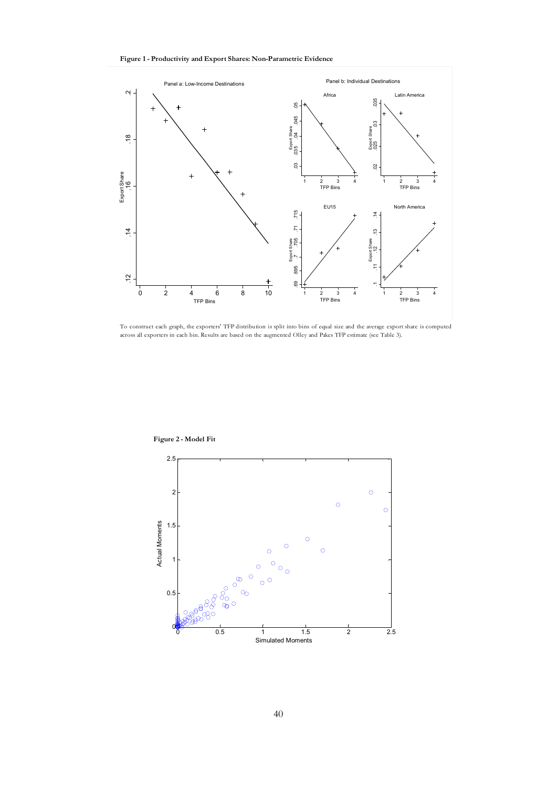



To construct each graph, the exporters' TFP distribution is split into bins of equal size and the average export share is computed



**Figure 2 - Model Fit**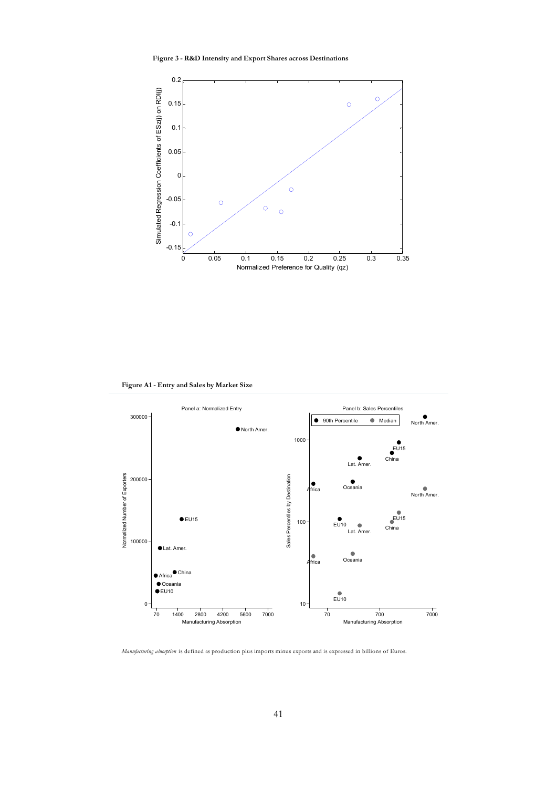**Figure 3 - R&D Intensity and Export Shares across Destinations**



**Figure A1 - Entry and Sales by Market Size**



*Manufacturing absorption* is defined as production plus imports minus exports and is expressed in billions of Euros.